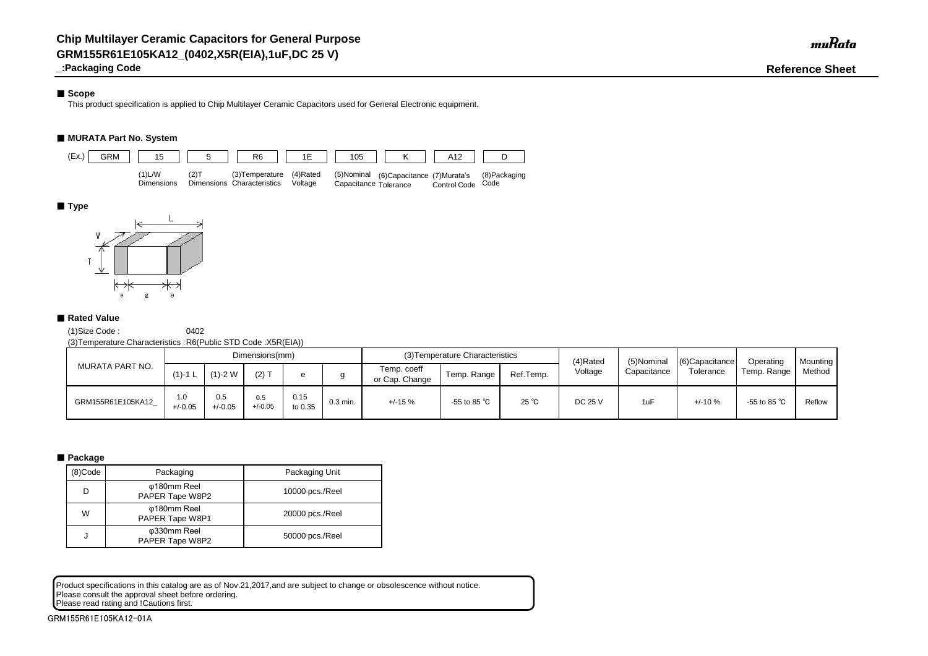# ■ Scope

**\_:Packaging Code Reference Sheet**

This product specification is applied to Chip Multilayer Ceramic Capacitors used for General Electronic equipment.

# ■ **MURATA Part No. System**

(1)Size Code : 0402

(3)Temperature Characteristics :R6(Public STD Code :X5R(EIA))

Product specifications in this catalog are as of Nov.21,2017,and are subject to change or obsolescence without notice. Please consult the approval sheet before ordering. Please read rating and !Cautions first.

| MURATA PART NO.    |                  |                  | Dimensions(mm)   |                 |            |                               | (3) Temperature Characteristics |                | (4)Rated       | (5)Nominal  | $(6)$ Capacitance | Operating              | <b>Mounting</b> |
|--------------------|------------------|------------------|------------------|-----------------|------------|-------------------------------|---------------------------------|----------------|----------------|-------------|-------------------|------------------------|-----------------|
|                    | $(1)$ -1 L       | $(1)-2$ W        | $(2)$ T          |                 |            | Temp. coeff<br>or Cap. Change | Temp. Range                     | Ref.Temp.      | Voltage        | Capacitance | Tolerance         | Temp. Range            | Method          |
| GRM155R61E105KA12_ | 1.0<br>$+/-0.05$ | 0.5<br>$+/-0.05$ | 0.5<br>$+/-0.05$ | 0.15<br>to 0.35 | $0.3$ min. | $+/-15%$                      | -55 to 85 $^{\circ}$ C          | $25^{\circ}$ C | <b>DC 25 V</b> | 1uF         | $+/-10%$          | -55 to 85 $^{\circ}$ C | Reflow          |

# ■ Package

| (8)Code | Packaging                      | Packaging Unit  |
|---------|--------------------------------|-----------------|
| D       | φ180mm Reel<br>PAPER Tape W8P2 | 10000 pcs./Reel |
| W       | φ180mm Reel<br>PAPER Tape W8P1 | 20000 pcs./Reel |
| J       | φ330mm Reel<br>PAPER Tape W8P2 | 50000 pcs./Reel |



# ■ **Type**



# ■ Rated Value

GRM155R61E105KA12-01A

muRata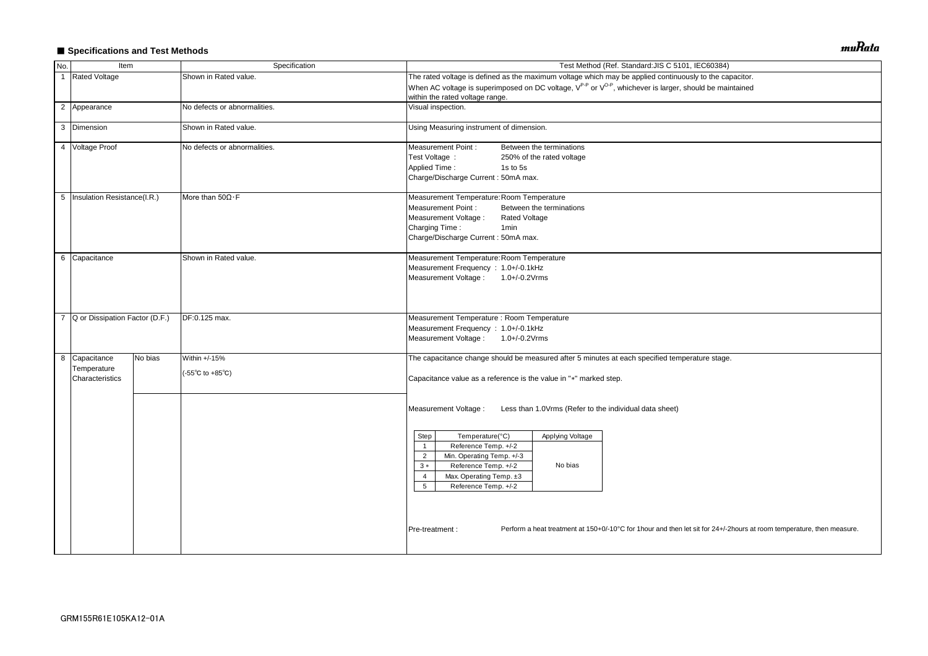# ■ Specifications and Test Methods

| No.            | Item                                            |               | Specification                                              | Test Method (Ref. Standard: JIS C 5101, IEC60384)                                                                                                                                                                                             |  |  |  |  |  |  |
|----------------|-------------------------------------------------|---------------|------------------------------------------------------------|-----------------------------------------------------------------------------------------------------------------------------------------------------------------------------------------------------------------------------------------------|--|--|--|--|--|--|
| $\overline{1}$ | <b>Rated Voltage</b>                            |               | Shown in Rated value.                                      | The rated voltage is defined as the maximum voltage which may be applied continuously to the capacitor.                                                                                                                                       |  |  |  |  |  |  |
|                |                                                 |               |                                                            | When AC voltage is superimposed on DC voltage, V <sup>P-P</sup> or V <sup>O-P</sup> , whichever is larger, should be maintained<br>within the rated voltage range.                                                                            |  |  |  |  |  |  |
|                | 2 Appearance                                    |               | No defects or abnormalities.                               | Visual inspection.                                                                                                                                                                                                                            |  |  |  |  |  |  |
|                | 3 Dimension                                     |               | Shown in Rated value.                                      | Using Measuring instrument of dimension.                                                                                                                                                                                                      |  |  |  |  |  |  |
|                | 4 Voltage Proof                                 |               | No defects or abnormalities.                               | <b>Measurement Point:</b><br>Between the terminations<br>Test Voltage :<br>250% of the rated voltage<br><b>Applied Time:</b><br>1s to 5s<br>Charge/Discharge Current: 50mA max.                                                               |  |  |  |  |  |  |
|                | 5   Insulation Resistance(I.R.)                 |               | More than $50\Omega \cdot F$                               | Measurement Temperature: Room Temperature<br><b>Measurement Point:</b><br>Between the terminations<br>Measurement Voltage :<br><b>Rated Voltage</b><br>Charging Time:<br>1 <sub>min</sub><br>Charge/Discharge Current: 50mA max.              |  |  |  |  |  |  |
|                | 6 Capacitance                                   |               | Shown in Rated value.                                      | Measurement Temperature: Room Temperature<br>Measurement Frequency : 1.0+/-0.1kHz<br>Measurement Voltage: 1.0+/-0.2Vrms                                                                                                                       |  |  |  |  |  |  |
| $\overline{7}$ | Q or Dissipation Factor (D.F.)                  | DF:0.125 max. |                                                            | Measurement Temperature : Room Temperature<br>Measurement Frequency : 1.0+/-0.1kHz<br>Measurement Voltage: 1.0+/-0.2Vrms                                                                                                                      |  |  |  |  |  |  |
|                | 8 Capacitance<br>Temperature<br>Characteristics | No bias       | Within +/-15%<br>$(-55^{\circ}C \text{ to } +85^{\circ}C)$ | The capacitance change should be measured after 5 minutes at each specified temperature stage.<br>Capacitance value as a reference is the value in "*" marked step.                                                                           |  |  |  |  |  |  |
|                |                                                 |               |                                                            | Measurement Voltage :<br>Less than 1.0Vrms (Refer to the individual data sheet)                                                                                                                                                               |  |  |  |  |  |  |
|                |                                                 |               |                                                            | Temperature(°C)<br>Applying Voltage<br>Step<br>Reference Temp. +/-2<br>$\overline{1}$<br>Min. Operating Temp. +/-3<br>$\overline{2}$<br>Reference Temp. +/-2<br>No bias<br>$3 *$<br>Max. Operating Temp. ±3<br>4<br>5<br>Reference Temp. +/-2 |  |  |  |  |  |  |
|                |                                                 |               |                                                            | Perform a heat treatment at 150+0/-10°C for 1hour and then let sit for 24+/-2hours at room temperature, then measure.<br>Pre-treatment :                                                                                                      |  |  |  |  |  |  |

muRata

| acitor.                                 |  |
|-----------------------------------------|--|
| tained                                  |  |
|                                         |  |
|                                         |  |
|                                         |  |
|                                         |  |
|                                         |  |
|                                         |  |
|                                         |  |
|                                         |  |
|                                         |  |
|                                         |  |
|                                         |  |
|                                         |  |
|                                         |  |
|                                         |  |
|                                         |  |
|                                         |  |
|                                         |  |
|                                         |  |
|                                         |  |
|                                         |  |
|                                         |  |
|                                         |  |
|                                         |  |
|                                         |  |
|                                         |  |
|                                         |  |
|                                         |  |
|                                         |  |
|                                         |  |
|                                         |  |
|                                         |  |
|                                         |  |
|                                         |  |
|                                         |  |
|                                         |  |
| ours at room temperature, then measure. |  |
|                                         |  |
|                                         |  |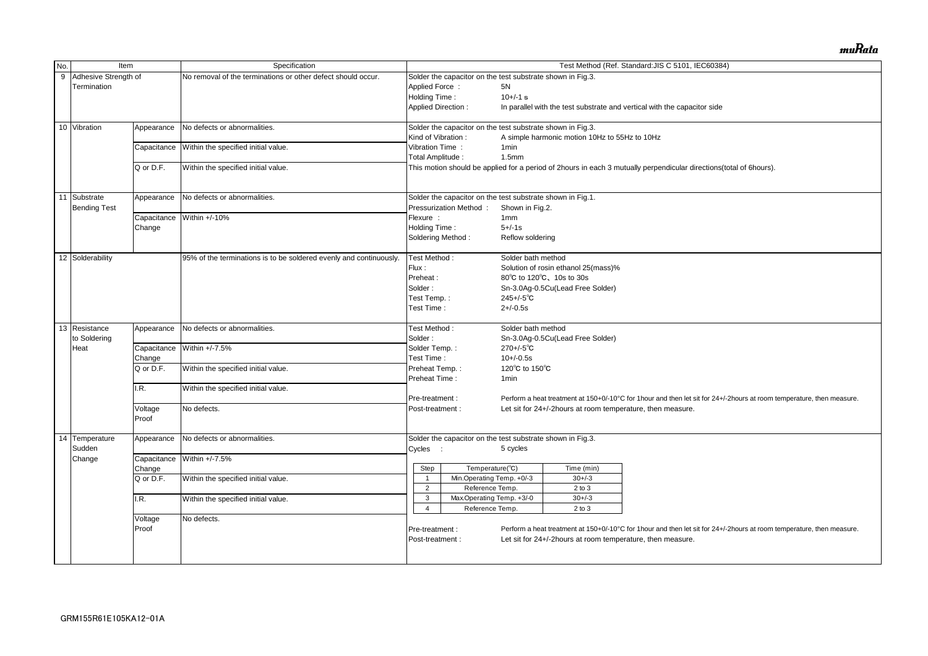|                  | Item                       |                  |                                                                    |                                     |                                                            |                    |                                                            |                                                                                                                       |  |  |  |
|------------------|----------------------------|------------------|--------------------------------------------------------------------|-------------------------------------|------------------------------------------------------------|--------------------|------------------------------------------------------------|-----------------------------------------------------------------------------------------------------------------------|--|--|--|
| No.              |                            |                  | Specification                                                      |                                     |                                                            |                    |                                                            | Test Method (Ref. Standard: JIS C 5101, IEC60384)                                                                     |  |  |  |
| $\boldsymbol{9}$ | Adhesive Strength of       |                  | No removal of the terminations or other defect should occur.       |                                     | Solder the capacitor on the test substrate shown in Fig.3. |                    |                                                            |                                                                                                                       |  |  |  |
|                  | Termination                |                  |                                                                    | Applied Force:                      |                                                            | 5N                 |                                                            |                                                                                                                       |  |  |  |
|                  |                            |                  |                                                                    |                                     | Holding Time:                                              |                    | $10+/-1$ s                                                 |                                                                                                                       |  |  |  |
|                  |                            |                  |                                                                    |                                     | <b>Applied Direction:</b>                                  |                    |                                                            | In parallel with the test substrate and vertical with the capacitor side                                              |  |  |  |
|                  | 10 Vibration               | Appearance       | No defects or abnormalities.                                       |                                     | Solder the capacitor on the test substrate shown in Fig.3. |                    |                                                            |                                                                                                                       |  |  |  |
|                  |                            |                  | Within the specified initial value.                                |                                     | Kind of Vibration:                                         |                    | A simple harmonic motion 10Hz to 55Hz to 10Hz              |                                                                                                                       |  |  |  |
|                  |                            | Capacitance      |                                                                    |                                     | Vibration Time:                                            | 1 <sub>min</sub>   |                                                            |                                                                                                                       |  |  |  |
|                  |                            |                  |                                                                    | Total Amplitude:                    |                                                            | 1.5 <sub>mm</sub>  |                                                            |                                                                                                                       |  |  |  |
|                  |                            | Q or D.F.        | Within the specified initial value.                                |                                     |                                                            |                    |                                                            | This motion should be applied for a period of 2hours in each 3 mutually perpendicular directions(total of 6hours).    |  |  |  |
| 11               | Substrate                  | Appearance       | No defects or abnormalities.                                       |                                     | Solder the capacitor on the test substrate shown in Fig.1. |                    |                                                            |                                                                                                                       |  |  |  |
|                  | <b>Bending Test</b>        |                  |                                                                    | Flexure :                           | Pressurization Method:                                     | Shown in Fig.2.    |                                                            |                                                                                                                       |  |  |  |
|                  |                            | Capacitance      | Within +/-10%                                                      |                                     |                                                            | 1 <sub>mm</sub>    |                                                            |                                                                                                                       |  |  |  |
|                  |                            | Change           |                                                                    | Holding Time:                       |                                                            | $5 + (-1s)$        |                                                            |                                                                                                                       |  |  |  |
|                  |                            |                  |                                                                    |                                     | Soldering Method:                                          | Reflow soldering   |                                                            |                                                                                                                       |  |  |  |
|                  | 12 Solderability           |                  | 95% of the terminations is to be soldered evenly and continuously. | Test Method:                        |                                                            | Solder bath method |                                                            |                                                                                                                       |  |  |  |
|                  |                            |                  |                                                                    | Flux:                               |                                                            |                    | Solution of rosin ethanol 25(mass)%                        |                                                                                                                       |  |  |  |
|                  |                            |                  |                                                                    | Preheat:                            |                                                            |                    | 80°C to 120°C, 10s to 30s                                  |                                                                                                                       |  |  |  |
|                  |                            |                  |                                                                    | Solder:                             |                                                            |                    | Sn-3.0Ag-0.5Cu(Lead Free Solder)                           |                                                                                                                       |  |  |  |
|                  |                            |                  |                                                                    | Test Temp.:                         |                                                            | $245 + (-5)$ °C    |                                                            |                                                                                                                       |  |  |  |
|                  |                            |                  |                                                                    | Test Time:                          |                                                            | $2 + (-0.5s)$      |                                                            |                                                                                                                       |  |  |  |
|                  | $\overline{13}$ Resistance | Appearance       | No defects or abnormalities.                                       | Test Method:                        |                                                            | Solder bath method |                                                            |                                                                                                                       |  |  |  |
|                  | to Soldering               |                  | Within +/-7.5%<br>Within the specified initial value.              |                                     |                                                            |                    | Sn-3.0Ag-0.5Cu(Lead Free Solder)                           |                                                                                                                       |  |  |  |
|                  | Heat                       | Capacitance      |                                                                    |                                     | Solder Temp.:<br>Test Time:<br>Preheat Temp.:              |                    |                                                            |                                                                                                                       |  |  |  |
|                  |                            | Change           |                                                                    |                                     |                                                            |                    |                                                            |                                                                                                                       |  |  |  |
|                  |                            | Q or D.F.        |                                                                    |                                     |                                                            |                    | 120°C to 150°C                                             |                                                                                                                       |  |  |  |
|                  |                            |                  |                                                                    | Preheat Time:                       |                                                            | 1 <sub>min</sub>   |                                                            |                                                                                                                       |  |  |  |
|                  |                            | I.R.             | Within the specified initial value.                                | Pre-treatment:                      |                                                            |                    |                                                            | Perform a heat treatment at 150+0/-10°C for 1hour and then let sit for 24+/-2hours at room temperature, then measure. |  |  |  |
|                  |                            |                  | No defects.                                                        |                                     |                                                            |                    |                                                            |                                                                                                                       |  |  |  |
|                  |                            | Voltage<br>Proof |                                                                    | Post-treatment :                    |                                                            |                    | Let sit for 24+/-2hours at room temperature, then measure. |                                                                                                                       |  |  |  |
|                  | 14 Temperature             | Appearance       | No defects or abnormalities.                                       |                                     | Solder the capacitor on the test substrate shown in Fig.3. |                    |                                                            |                                                                                                                       |  |  |  |
|                  | Sudden                     |                  |                                                                    | Cycles :                            |                                                            | 5 cycles           |                                                            |                                                                                                                       |  |  |  |
|                  | Change                     |                  | Capacitance Within +/-7.5%                                         |                                     |                                                            |                    |                                                            |                                                                                                                       |  |  |  |
|                  |                            | Change           |                                                                    | Step                                | Temperature(°C)                                            |                    | Time (min)                                                 |                                                                                                                       |  |  |  |
|                  |                            | Q or D.F.        | Within the specified initial value.                                |                                     | Min.Operating Temp. +0/-3                                  |                    | $30 + / -3$                                                |                                                                                                                       |  |  |  |
|                  |                            |                  |                                                                    | $\overline{2}$                      | Reference Temp.                                            |                    | $2$ to $3$                                                 |                                                                                                                       |  |  |  |
|                  |                            | I.R.             | Within the specified initial value.                                | 3                                   | Max.Operating Temp. +3/-0                                  |                    | $30 + / -3$                                                |                                                                                                                       |  |  |  |
|                  |                            |                  |                                                                    | 4                                   | Reference Temp.                                            |                    | $2$ to $3$                                                 |                                                                                                                       |  |  |  |
|                  |                            | Voltage          | No defects.                                                        |                                     |                                                            |                    |                                                            |                                                                                                                       |  |  |  |
|                  |                            | Proof            |                                                                    | Pre-treatment :<br>Post-treatment : |                                                            |                    | Let sit for 24+/-2hours at room temperature, then measure. | Perform a heat treatment at 150+0/-10°C for 1hour and then let sit for 24+/-2hours at room temperature, then measure. |  |  |  |
|                  |                            |                  |                                                                    |                                     |                                                            |                    |                                                            |                                                                                                                       |  |  |  |

muRata

| al of 6hours).                          |
|-----------------------------------------|
|                                         |
|                                         |
|                                         |
|                                         |
|                                         |
|                                         |
|                                         |
|                                         |
|                                         |
|                                         |
|                                         |
|                                         |
|                                         |
|                                         |
|                                         |
|                                         |
|                                         |
|                                         |
|                                         |
|                                         |
|                                         |
|                                         |
| ours at room temperature, then measure. |
|                                         |
|                                         |
|                                         |
|                                         |
|                                         |
|                                         |
|                                         |
|                                         |
|                                         |
|                                         |
|                                         |
|                                         |
| ours at room temperature, then measure. |
|                                         |
|                                         |
|                                         |
|                                         |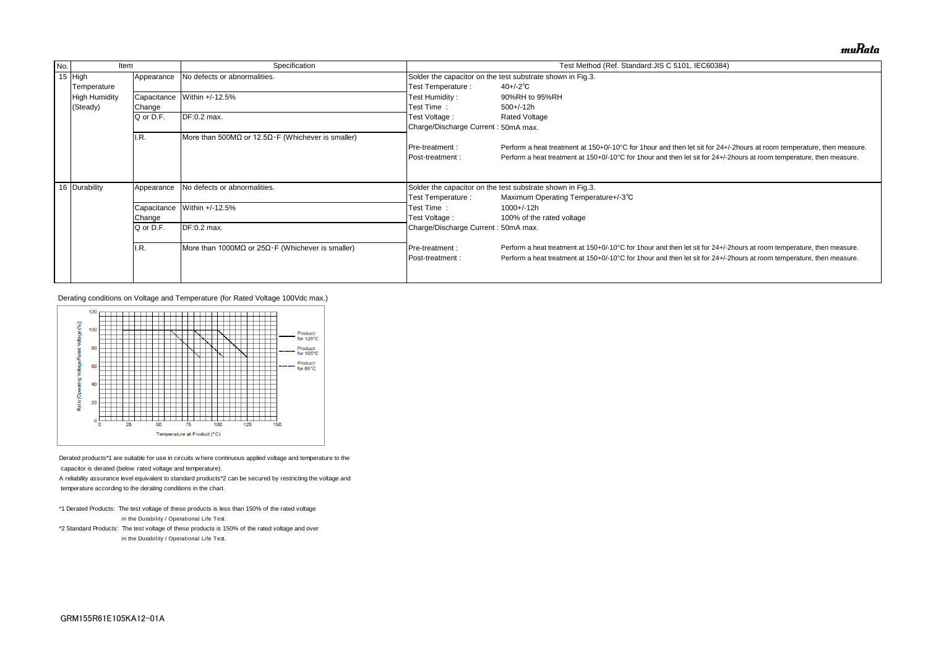| No. | Item                 |             | Specification                                             |                                                            | Test Method (Ref. Standard: JIS C 5101, IEC60384)                              |  |  |  |
|-----|----------------------|-------------|-----------------------------------------------------------|------------------------------------------------------------|--------------------------------------------------------------------------------|--|--|--|
|     | 15 $High$            | Appearance  | No defects or abnormalities.                              |                                                            | Solder the capacitor on the test substrate shown in Fig.3.                     |  |  |  |
|     | Temperature          |             |                                                           | Test Temperature :                                         | $40 + (-2)$ °C                                                                 |  |  |  |
|     | <b>High Humidity</b> | Capacitance | Within +/-12.5%                                           | Test Humidity :                                            | 90%RH to 95%RH                                                                 |  |  |  |
|     | (Steady)             | Change      |                                                           | Test Time:                                                 | $500+/-12h$                                                                    |  |  |  |
|     |                      | Q or D.F.   | DF:0.2 max.                                               | Test Voltage :                                             | <b>Rated Voltage</b>                                                           |  |  |  |
|     |                      |             |                                                           | Charge/Discharge Current: 50mA max.                        |                                                                                |  |  |  |
|     |                      | I.R.        | More than 500MΩ or 12.5Ω $\cdot$ F (Whichever is smaller) |                                                            |                                                                                |  |  |  |
|     |                      |             |                                                           | <b>IPre-treatment:</b>                                     | Perform a heat treatment at 150+0/-10°C for 1 hour and then let sit for 24+/-  |  |  |  |
|     |                      |             |                                                           | Post-treatment :                                           | Perform a heat treatment at 150+0/-10°C for 1 hour and then let sit for 24+/-2 |  |  |  |
|     |                      |             |                                                           |                                                            |                                                                                |  |  |  |
|     |                      |             |                                                           |                                                            |                                                                                |  |  |  |
|     | 16 Durability        | Appearance  | No defects or abnormalities.                              | Solder the capacitor on the test substrate shown in Fig.3. |                                                                                |  |  |  |
|     |                      |             |                                                           | Test Temperature :                                         | Maximum Operating Temperature+/-3°C                                            |  |  |  |
|     |                      | Capacitance | Within +/-12.5%                                           | Test Time:                                                 | 1000+/-12h                                                                     |  |  |  |
|     |                      | Change      |                                                           | Test Voltage :                                             | 100% of the rated voltage                                                      |  |  |  |
|     |                      | Q or D.F.   | DF:0.2 max.                                               | Charge/Discharge Current: 50mA max.                        |                                                                                |  |  |  |
|     |                      | II.R.       | More than 1000MΩ or $25Ω·F$ (Whichever is smaller)        | <b>IPre-treatment:</b>                                     | Perform a heat treatment at 150+0/-10°C for 1 hour and then let sit for 24+/-2 |  |  |  |
|     |                      |             |                                                           | <b>IPost-treatment:</b>                                    | Perform a heat treatment at 150+0/-10°C for 1 hour and then let sit for 24+/-2 |  |  |  |
|     |                      |             |                                                           |                                                            |                                                                                |  |  |  |

- \*1 Derated Products: The test voltage of these products is less than 150% of the rated voltage  $*$ 1 Derated Products: The test voltage of these products is les<br>in the Durability / Operational Life Test.
- \*2 Standard Products: The test voltage of these products is 150% of the rated voltage and over in the Durability / Operational Life Test.<br>\*2 Standard Products: The test voltage of these products is 1<br>in the Durability / Operational Life Test.

Derating conditions on Voltage and Temperature (for Rated Voltage 100Vdc max.)



Derated products\*1 are suitable for use in circuits where concapacitor is derated (below rated voltage and temperature).

A reliability assurance level equivalent to standard products\*2 can be secured by restricting the voltage and

temperature according to the derating conditions in the chart.

muRata

'-2hours at room temperature, then measure. hours at room temperature, then measure.

hours at room temperature, then measure. hours at room temperature, then measure.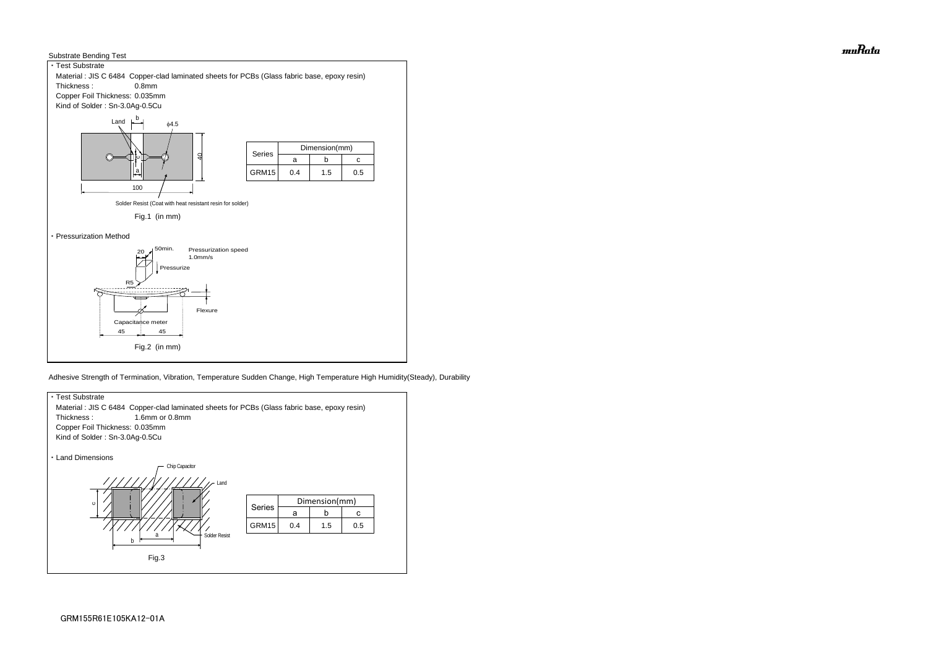



Adhesive Strength of Termination, Vibration, Temperature Sudden Change, High Temperature High Humidity(Steady), Durability



muRata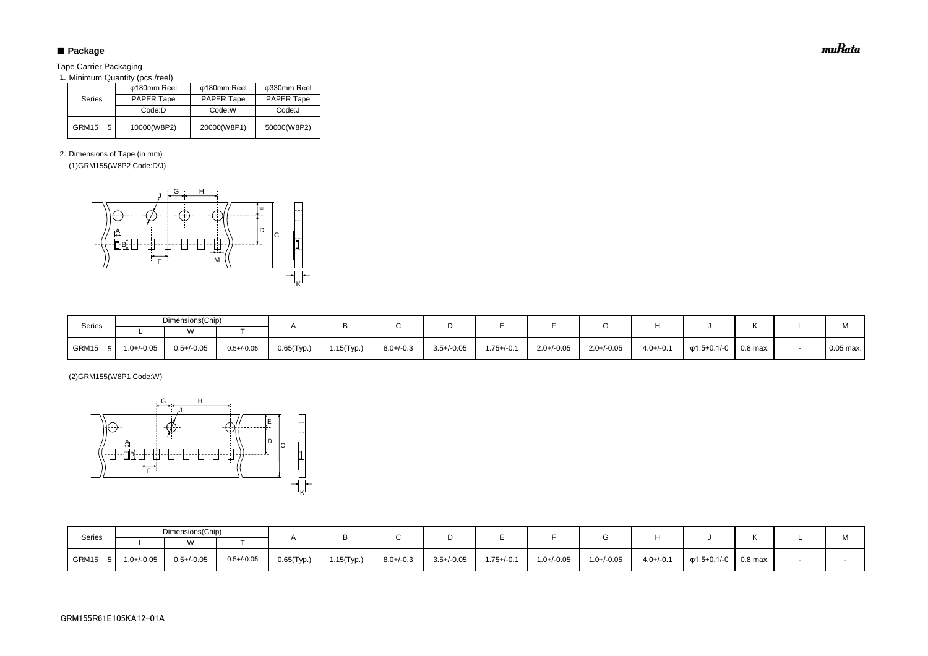# ■ Package

Tape Carrier Packaging

1. Minimum Quantity (pcs./reel)

2. Dimensions of Tape (in mm)

(1)GRM155(W8P2 Code:D/J)

(2)GRM155(W8P1 Code:W)

|               |   | φ180mm Reel       | φ180mm Reel       | φ330mm Reel       |  |  |
|---------------|---|-------------------|-------------------|-------------------|--|--|
| <b>Series</b> |   | <b>PAPER Tape</b> | <b>PAPER Tape</b> | <b>PAPER Tape</b> |  |  |
|               |   | Code:D            | Code:W            | Code:J            |  |  |
| GRM15         | 5 | 10000(W8P2)       | 20000(W8P1)       | 50000(W8P2)       |  |  |

| Series | Dimensions(Chip) |                 |                 |               |               |                |                 |                 |                 |                 |                |                   |                       |     |
|--------|------------------|-----------------|-----------------|---------------|---------------|----------------|-----------------|-----------------|-----------------|-----------------|----------------|-------------------|-----------------------|-----|
|        |                  | ١٨              |                 |               |               |                |                 |                 |                 |                 |                |                   |                       | IVI |
| GRM15  | $1.0 + (-0.05)$  | $0.5 + (-0.05)$ | $0.5 + (-0.05)$ | $0.65$ (Typ.) | $1.15$ (Typ.) | $8.0 + / -0.3$ | $3.5 + (-0.05)$ | $1.75 + (-0.1)$ | $1.0 + (-0.05)$ | $1.0 + / -0.05$ | $4.0 + (-0.1)$ | $\phi$ 1.5+0.1/-0 | $\,^{\circ}$ 0.8 max. |     |

| Series    | Dimensions(Chip) |                 |                 |               |            |                |                 |                |                 |                 |                |                               |  | M           |
|-----------|------------------|-----------------|-----------------|---------------|------------|----------------|-----------------|----------------|-----------------|-----------------|----------------|-------------------------------|--|-------------|
|           |                  | $\mathbf{M}$    |                 |               |            |                |                 |                |                 |                 |                |                               |  |             |
| $GRM15$ 5 | 1.0+/-0.05       | $0.5 + / -0.05$ | $0.5 + (-0.05)$ | $0.65$ (Typ.) | 1.15(Typ.) | $8.0 + / -0.3$ | $3.5 + / -0.05$ | $1.75 + (-0.1$ | $2.0 + (-0.05)$ | $2.0 + (-0.05)$ | $4.0 + (-0.1)$ | $\varphi$ 1.5+0.1/-0 0.8 max. |  | $0.05$ max. |



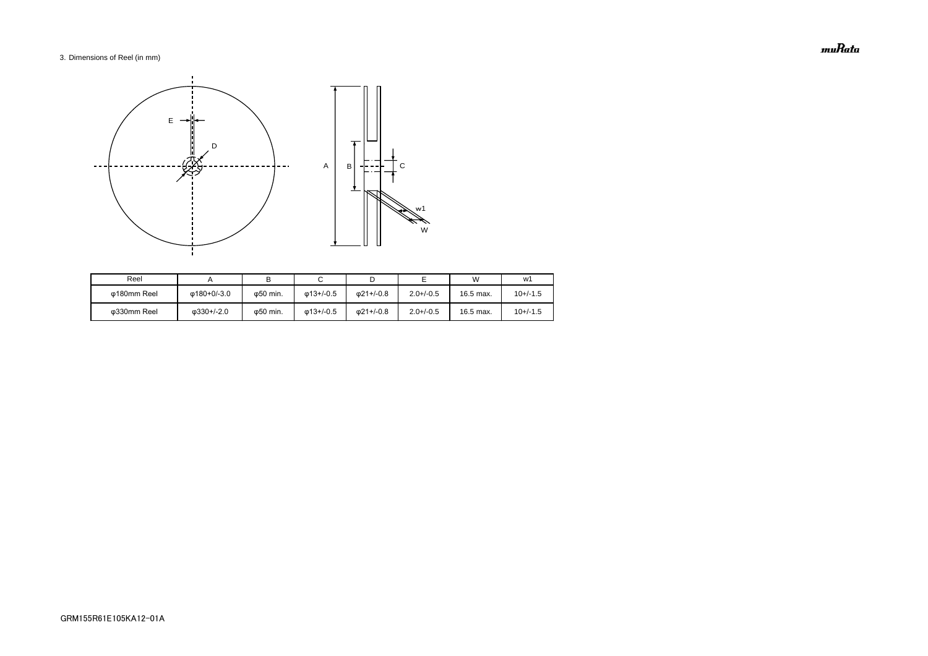# 3. Dimensions of Reel (in mm)

| Reel        |                    |                   |                   |                   |                | W         | w1         |
|-------------|--------------------|-------------------|-------------------|-------------------|----------------|-----------|------------|
| ω180mm Reel | Φ180+0/-3.0        | ω50 min.          | $\omega$ 13+/-0.5 | $\omega$ 21+/-0.8 | $2.0 + (-0.5)$ | 16.5 max. | $10+/-1.5$ |
| Φ330mm Reel | $\omega$ 330+/-2.0 | $\varphi$ 50 min. | $\omega$ 13+/-0.5 | 021+/-0.8         | $2.0 + (-0.5)$ | 16.5 max. | $10+/-1.5$ |



muRata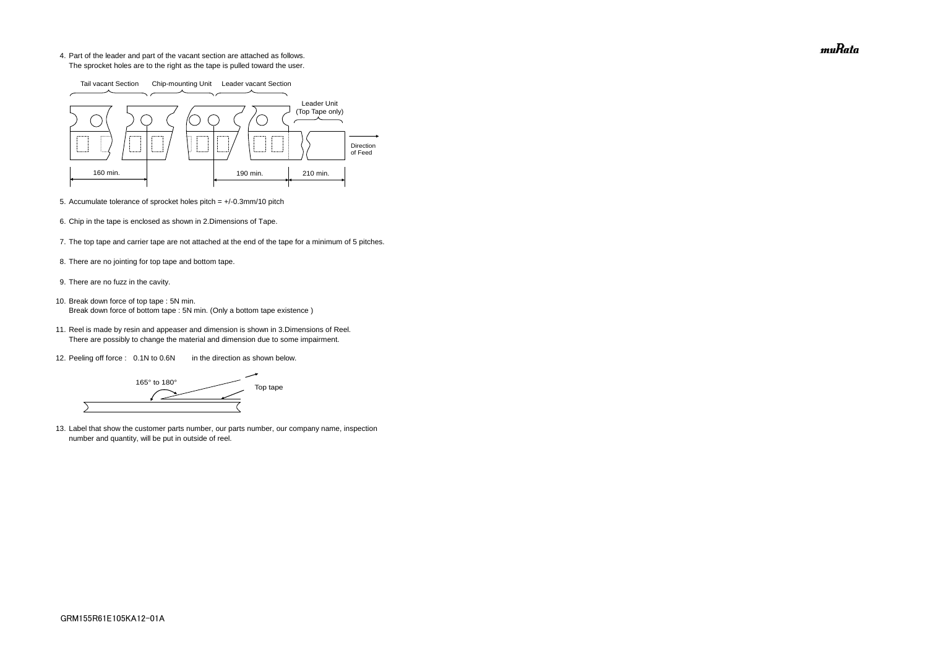4. Part of the leader and part of the vacant section are attached as follows. The sprocket holes are to the right as the tape is pulled toward the user.

- 5. Accumulate tolerance of sprocket holes pitch = +/-0.3mm/10 pitch
- 6. Chip in the tape is enclosed as shown in 2.Dimensions of Tape.
- 7. The top tape and carrier tape are not attached at the end of the tape for a minimum of 5 pitches.
- 8. There are no jointing for top tape and bottom tape.
- 9. There are no fuzz in the cavity.
- 10. Break down force of top tape : 5N min. Break down force of bottom tape : 5N min. (Only a bottom tape existence)
	- 11. Reel is made by resin and appeaser and dimension is shown in 3.Dimensions of Reel. There are possibly to change the material and dimension due to some impairment.
	- 12. Peeling off force : 0.1N to 0.6N in the direction as shown below.

165° to 180° Top tape  $\overline{\phantom{0}}$ 

13. Label that show the customer parts number, our parts number, our company name, inspection number and quantity, will be put in outside of reel.



muRata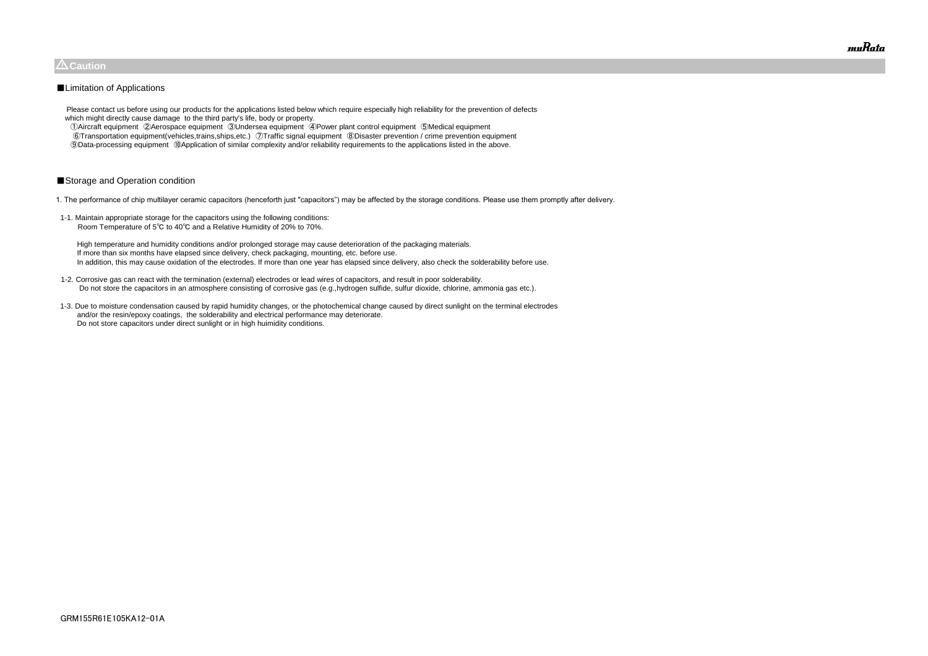Please contact us before using our products for the applications listed below which require especially high reliability for the prevention of defects which might directly cause damage to the third party's life, body or property.

 ①Aircraft equipment ②Aerospace equipment ③Undersea equipment ④Power plant control equipment ⑤Medical equipment ⑥Transportation equipment(vehicles,trains,ships,etc.) ⑦Traffic signal equipment ⑧Disaster prevention / crime prevention equipment ⑨Data-processing equipment ⑩Application of similar complexity and/or reliability requirements to the applications listed in the above.

# ■Storage and Operation condition

1. The performance of chip multilayer ceramic capacitors (henceforth just "capacitors") may be affected by the storage conditions. Please use them promptly after delivery.

1-1. Maintain appropriate storage for the capacitors using the following conditions: Room Temperature of 5℃ to 40℃ and a Relative Humidity of 20% to 70%.

 High temperature and humidity conditions and/or prolonged storage may cause deterioration of the packaging materials. If more than six months have elapsed since delivery, check packaging, mounting, etc. before use. In addition, this may cause oxidation of the electrodes. If more than one year has elapsed since delivery, also check the solderability before use.

- 1-2. Corrosive gas can react with the termination (external) electrodes or lead wires of capacitors, and result in poor solderability. Do not store the capacitors in an atmosphere consisting of corrosive gas (e.g.,hydrogen sulfide, sulfur dioxide, chlorine, ammonia gas etc.).
- 1-3. Due to moisture condensation caused by rapid humidity changes, or the photochemical change caused by direct sunlight on the terminal electrodes and/or the resin/epoxy coatings, the solderability and electrical performance may deteriorate. Do not store capacitors under direct sunlight or in high huimidity conditions.



# $\triangle$ Caution

## ■Limitation of Applications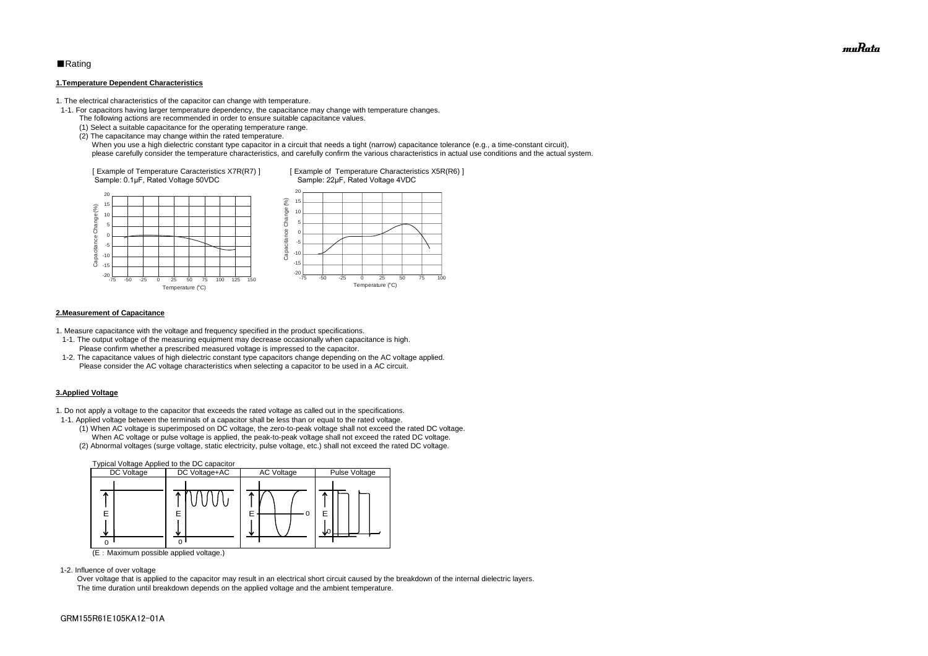# ■Rating

#### **1.Temperature Dependent Characteristics**

1. The electrical characteristics of the capacitor can change with temperature.

- 1-1. For capacitors having larger temperature dependency, the capacitance may change with temperature changes.
	- The following actions are recommended in order to ensure suitable capacitance values.
	- (1) Select a suitable capacitance for the operating temperature range.
	- (2) The capacitance may change within the rated temperature.

When you use a high dielectric constant type capacitor in a circuit that needs a tight (narrow) capacitance tolerance (e.g., a time-constant circuit), please carefully consider the temperature characteristics, and carefully confirm the various characteristics in actual use conditions and the actual system.

#### **2.Measurement of Capacitance**

1. Measure capacitance with the voltage and frequency specified in the product specifications.

- 1-1. The output voltage of the measuring equipment may decrease occasionally when capacitance is high. Please confirm whether a prescribed measured voltage is impressed to the capacitor.
- 1-2. The capacitance values of high dielectric constant type capacitors change depending on the AC voltage applied. Please consider the AC voltage characteristics when selecting a capacitor to be used in a AC circuit.

#### **3.Applied Voltage**

1. Do not apply a voltage to the capacitor that exceeds the rated voltage as called out in the specifications.



- 1-1. Applied voltage between the terminals of a capacitor shall be less than or equal to the rated voltage.
	- (1) When AC voltage is superimposed on DC voltage, the zero-to-peak voltage shall not exceed the rated DC voltage. When AC voltage or pulse voltage is applied, the peak-to-peak voltage shall not exceed the rated DC voltage.
	- (2) Abnormal voltages (surge voltage, static electricity, pulse voltage, etc.) shall not exceed the rated DC voltage.



(E:Maximum possible applied voltage.)

1-2. Influence of over voltage

 Over voltage that is applied to the capacitor may result in an electrical short circuit caused by the breakdown of the internal dielectric layers. The time duration until breakdown depends on the applied voltage and the ambient temperature.

muRata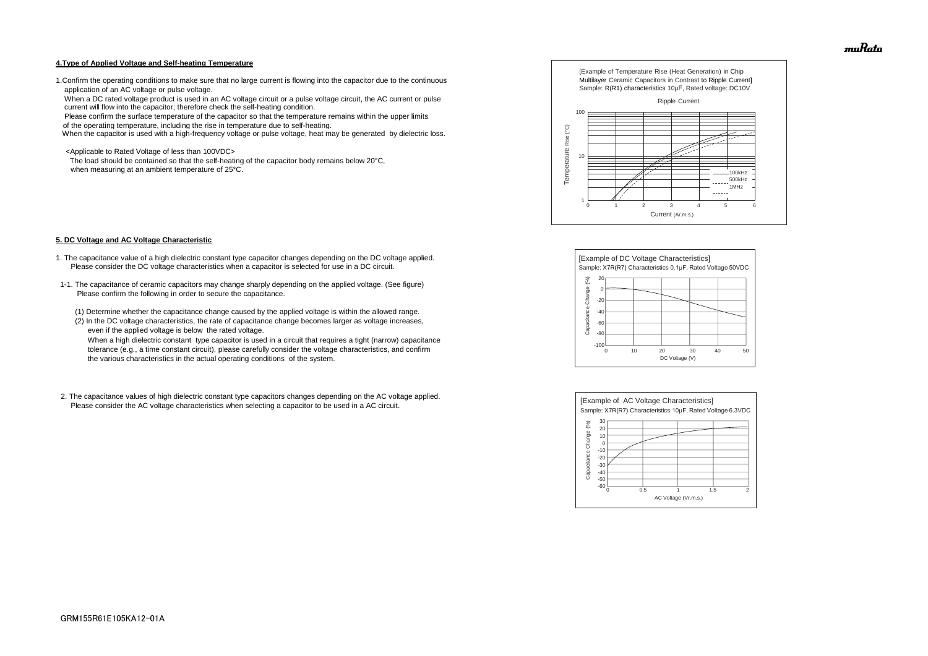#### **4.Type of Applied Voltage and Self-heating Temperature**

1.Confirm the operating conditions to make sure that no large current is flowing into the capacitor due to the continuous application of an AC voltage or pulse voltage.

 When a DC rated voltage product is used in an AC voltage circuit or a pulse voltage circuit, the AC current or pulse current will flow into the capacitor; therefore check the self-heating condition.

Please confirm the surface temperature of the capacitor so that the temperature remains within the upper limits

of the operating temperature, including the rise in temperature due to self-heating.

When the capacitor is used with a high-frequency voltage or pulse voltage, heat may be generated by dielectric loss.

<Applicable to Rated Voltage of less than 100VDC>

 The load should be contained so that the self-heating of the capacitor body remains below 20°C, when measuring at an ambient temperature of 25°C.

#### **5. DC Voltage and AC Voltage Characteristic**

- 1. The capacitance value of a high dielectric constant type capacitor changes depending on the DC voltage applied. Please consider the DC voltage characteristics when a capacitor is selected for use in a DC circuit.
- 1-1. The capacitance of ceramic capacitors may change sharply depending on the applied voltage. (See figure) Please confirm the following in order to secure the capacitance.
	- (1) Determine whether the capacitance change caused by the applied voltage is within the allowed range.
	- (2) In the DC voltage characteristics, the rate of capacitance change becomes larger as voltage increases, even if the applied voltage is below the rated voltage.

 When a high dielectric constant type capacitor is used in a circuit that requires a tight (narrow) capacitance tolerance (e.g., a time constant circuit), please carefully consider the voltage characteristics, and confirm the various characteristics in the actual operating conditions of the system.

2. The capacitance values of high dielectric constant type capacitors changes depending on the AC voltage applied. Please consider the AC voltage characteristics when selecting a capacitor to be used in a AC circuit.









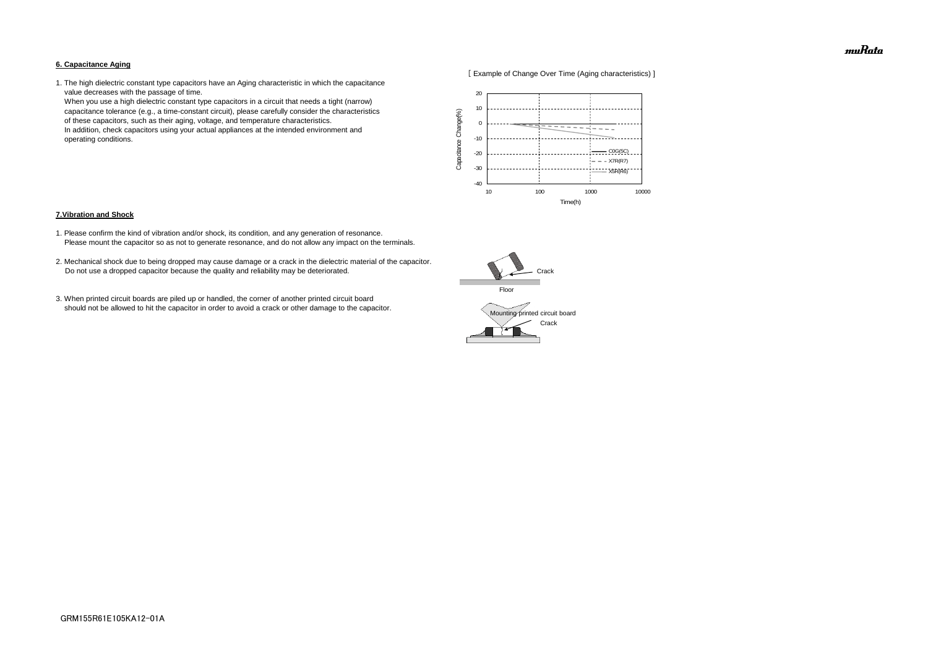#### **6. Capacitance Aging**



1. The high dielectric constant type capacitors have an Aging characteristic in which the capacitance value decreases with the passage of time.

 When you use a high dielectric constant type capacitors in a circuit that needs a tight (narrow) capacitance tolerance (e.g., a time-constant circuit), please carefully consider the characteristics of these capacitors, such as their aging, voltage, and temperature characteristics. In addition, check capacitors using your actual appliances at the intended environment and operating conditions.

#### **7.Vibration and Shock**

- 1. Please confirm the kind of vibration and/or shock, its condition, and any generation of resonance. Please mount the capacitor so as not to generate resonance, and do not allow any impact on the terminals.
- 2. Mechanical shock due to being dropped may cause damage or a crack in the dielectric material of the capacitor. Do not use a dropped capacitor because the quality and reliability may be deteriorated.
- 3. When printed circuit boards are piled up or handled, the corner of another printed circuit board should not be allowed to hit the capacitor in order to avoid a crack or other damage to the capacitor.





muRata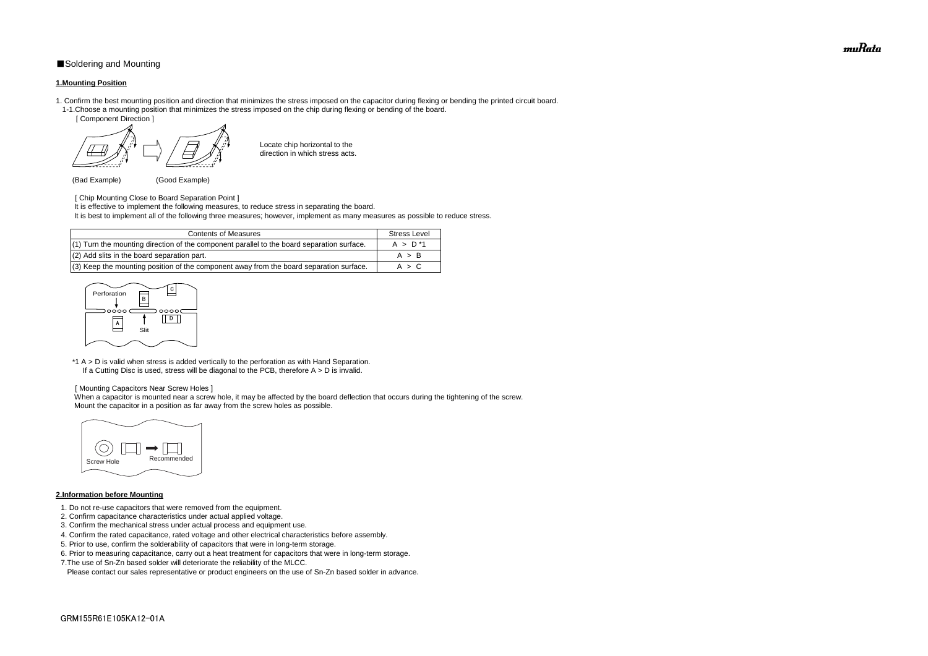# ■Soldering and Mounting

#### **1.Mounting Position**

- 1. Confirm the best mounting position and direction that minimizes the stress imposed on the capacitor during flexing or bending the printed circuit board. 1-1.Choose a mounting position that minimizes the stress imposed on the chip during flexing or bending of the board.
	- [ Component Direction ]

- [ Chip Mounting Close to Board Separation Point ] It is effective to implement the following measures, to reduce stress in separating the board.
- It is best to implement all of the following three measures; however, implement as many measures as possible to reduce stress.

Locate chip horizontal to the direction in which stress acts.

(Bad Example) (Good Example)

\*1 A > D is valid when stress is added vertically to the perforation as with Hand Separation. If a Cutting Disc is used, stress will be diagonal to the PCB, therefore  $A > D$  is invalid.

When a capacitor is mounted near a screw hole, it may be affected by the board deflection that occurs during the tightening of the screw. Mount the capacitor in a position as far away from the screw holes as possible.

#### [ Mounting Capacitors Near Screw Holes ]

## **2.Information before Mounting**

| <b>Contents of Measures</b>                                                                | <b>Stress Level</b> |
|--------------------------------------------------------------------------------------------|---------------------|
| (1) Turn the mounting direction of the component parallel to the board separation surface. | $A > D^*1$          |
| (2) Add slits in the board separation part.                                                | A > B               |
| (3) Keep the mounting position of the component away from the board separation surface.    | A > C               |

- 1. Do not re-use capacitors that were removed from the equipment.
- 2. Confirm capacitance characteristics under actual applied voltage.
- 3. Confirm the mechanical stress under actual process and equipment use.
- 4. Confirm the rated capacitance, rated voltage and other electrical characteristics before assembly.
- 5. Prior to use, confirm the solderability of capacitors that were in long-term storage.
- 6. Prior to measuring capacitance, carry out a heat treatment for capacitors that were in long-term storage.
- 7.The use of Sn-Zn based solder will deteriorate the reliability of the MLCC.

Please contact our sales representative or product engineers on the use of Sn-Zn based solder in advance.





muRata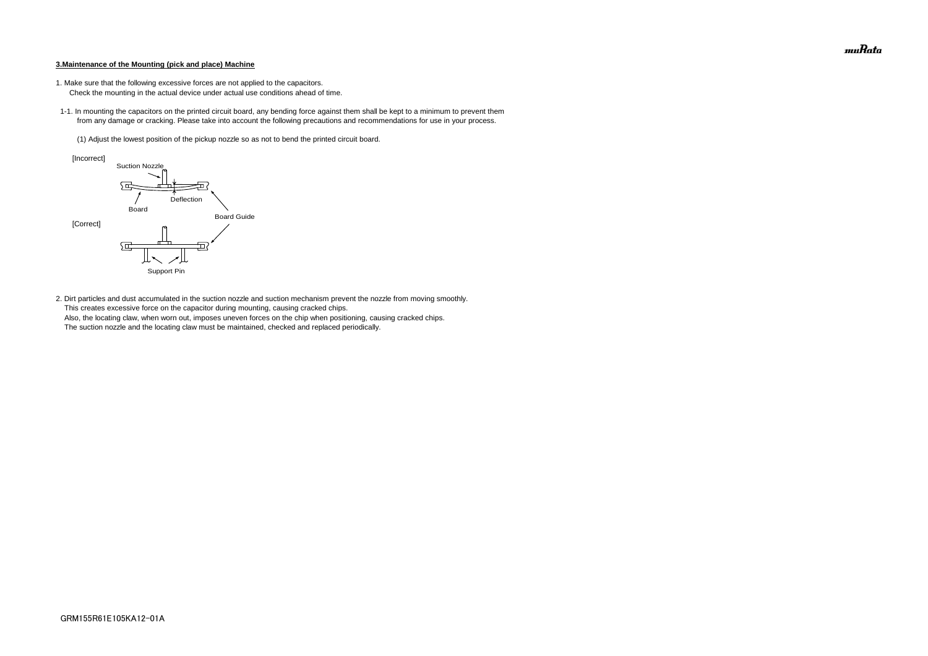#### **3.Maintenance of the Mounting (pick and place) Machine**

- 1. Make sure that the following excessive forces are not applied to the capacitors.
	- Check the mounting in the actual device under actual use conditions ahead of time.
- 1-1. In mounting the capacitors on the printed circuit board, any bending force against them shall be kept to a minimum to prevent them from any damage or cracking. Please take into account the following precautions and recommendations for use in your process.
	- (1) Adjust the lowest position of the pickup nozzle so as not to bend the printed circuit board.

2. Dirt particles and dust accumulated in the suction nozzle and suction mechanism prevent the nozzle from moving smoothly. This creates excessive force on the capacitor during mounting, causing cracked chips. Also, the locating claw, when worn out, imposes uneven forces on the chip when positioning, causing cracked chips. The suction nozzle and the locating claw must be maintained, checked and replaced periodically.



muRata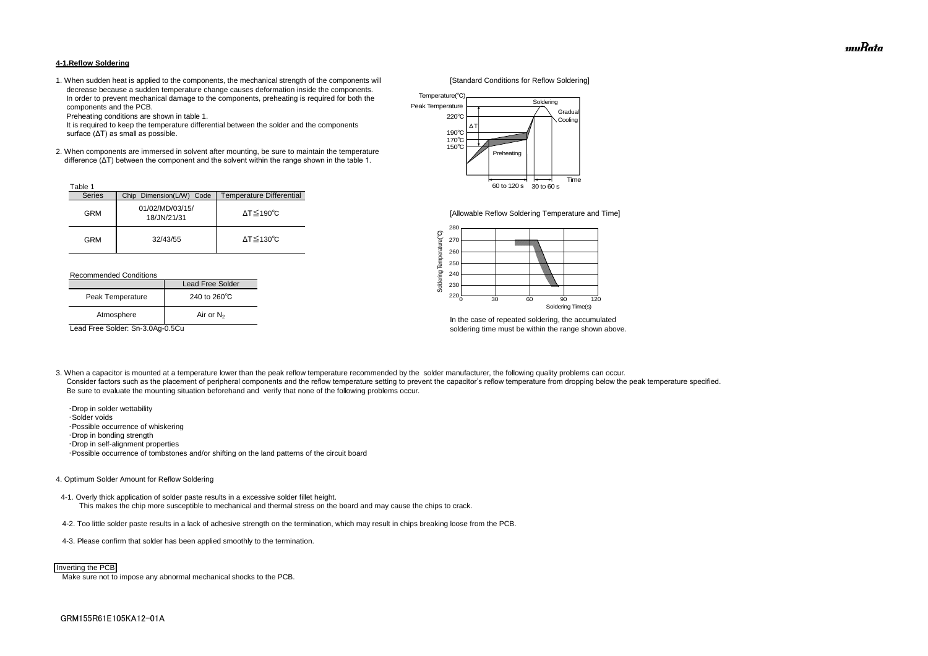#### **4-1.Reflow Soldering**

1. When sudden heat is applied to the components, the mechanical strength of the components will [Standard Conditions for Reflow Soldering] decrease because a sudden temperature change causes deformation inside the components. In order to prevent mechanical damage to the components, preheating is required for both the components and the PCB.

Preheating conditions are shown in table 1.

 It is required to keep the temperature differential between the solder and the components surface (ΔT) as small as possible.

2. When components are immersed in solvent after mounting, be sure to maintain the temperature difference (ΔT) between the component and the solvent within the range shown in the table 1.

#### Recommended Conditions

3. When a capacitor is mounted at a temperature lower than the peak reflow temperature recommended by the solder manufacturer, the following quality problems can occur. Consider factors such as the placement of peripheral components and the reflow temperature setting to prevent the capacitor's reflow temperature from dropping below the peak temperature specified. Be sure to evaluate the mounting situation beforehand and verify that none of the following problems occur.



In the case of repeated soldering, the accumulated Lead Free Solder: Sn-3.0Ag-0.5Cu soldering time must be within the range shown above.

 ・Drop in solder wettability ・Solder voids ・Possible occurrence of whiskering ・Drop in bonding strength ・Drop in self-alignment properties ・Possible occurrence of tombstones and/or shifting on the land patterns of the circuit board

| <sup>-</sup> able |                                |                              |
|-------------------|--------------------------------|------------------------------|
| <b>Series</b>     | Chip Dimension(L/W) Code       | Temperature Differential     |
| <b>GRM</b>        | 01/02/MD/03/15/<br>18/JN/21/31 | $\Delta T \leq 190^{\circ}C$ |
| <b>GRM</b>        | 32/43/55                       | $\Delta T \leq 130^{\circ}C$ |

#### 4. Optimum Solder Amount for Reflow Soldering

4-1. Overly thick application of solder paste results in a excessive solder fillet height. This makes the chip more susceptible to mechanical and thermal stress on the board and may cause the chips to crack.

- 4-2. Too little solder paste results in a lack of adhesive strength on the termination, which may result in chips breaking loose from the PCB.
- 4-3. Please confirm that solder has been applied smoothly to the termination.

Make sure not to impose any abnormal mechanical shocks to the PCB.

|                  | Lead Free Solder       |  |
|------------------|------------------------|--|
| Peak Temperature | 240 to $260^{\circ}$ C |  |
| Atmosphere       | Air or $N_2$           |  |



#### Inverting the PCB



[Allowable Reflow Soldering Temperature and Time]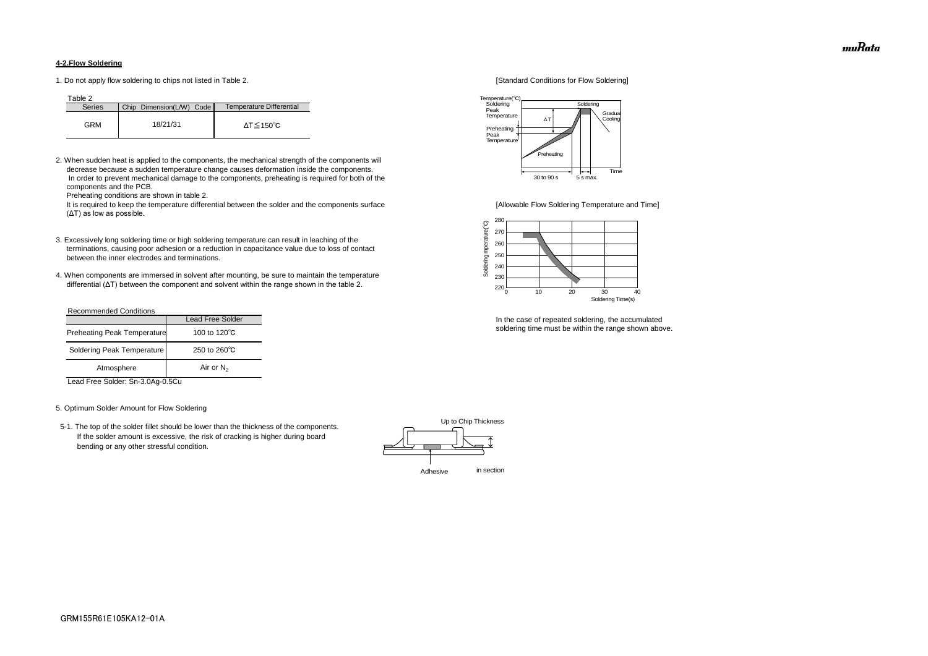#### **4-2.Flow Soldering**

1. Do not apply flow soldering to chips not listed in Table 2. [Standard Conditions for Flow Soldering]

Table 2

2. When sudden heat is applied to the components, the mechanical strength of the components will decrease because a sudden temperature change causes deformation inside the components. In order to prevent mechanical damage to the components, preheating is required for both of the components and the PCB.

It is required to keep the temperature differential between the solder and the components surface [Allowable Flow Soldering Temperature and Time] (ΔT) as low as possible.

Preheating conditions are shown in table 2.

- 3. Excessively long soldering time or high soldering temperature can result in leaching of the terminations, causing poor adhesion or a reduction in capacitance value due to loss of contact between the inner electrodes and terminations.
- 4. When components are immersed in solvent after mounting, be sure to maintain the temperature differential (ΔT) between the component and solvent within the range shown in the table 2.

| <b>Series</b> | Chip Dimension(L/W) Code | Temperature Differential |
|---------------|--------------------------|--------------------------|
| GRM           | 18/21/31                 | ΔT≤150℃                  |

#### Recommended Conditions

Lead Free Solder: Sn-3.0Ag-0.5Cu

#### 5. Optimum Solder Amount for Flow Soldering

 5-1. The top of the solder fillet should be lower than the thickness of the components. If the solder amount is excessive, the risk of cracking is higher during board bending or any other stressful condition.



In the case of repeated soldering, the accumulated soldering time must be within the range shown above.

|                                    | <b>Lead Free Solder</b> |
|------------------------------------|-------------------------|
| <b>Preheating Peak Temperature</b> | 100 to $120^{\circ}$ C  |
| Soldering Peak Temperature         | 250 to $260^{\circ}$ C  |
| Atmosphere                         | Air or $N_2$            |





muRata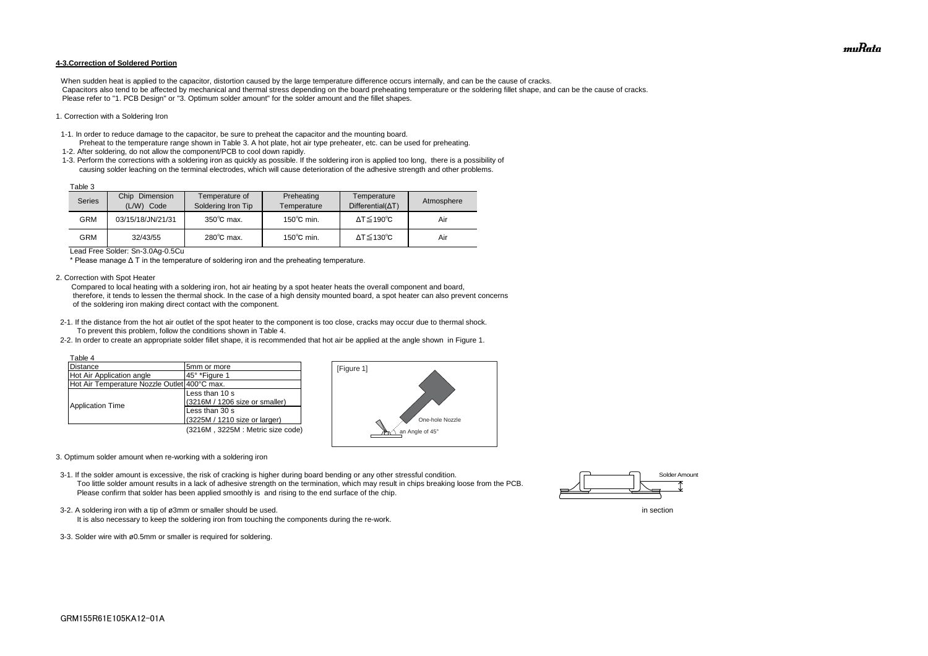#### **4-3.Correction of Soldered Portion**

When sudden heat is applied to the capacitor, distortion caused by the large temperature difference occurs internally, and can be the cause of cracks. Capacitors also tend to be affected by mechanical and thermal stress depending on the board preheating temperature or the soldering fillet shape, and can be the cause of cracks. Please refer to "1. PCB Design" or "3. Optimum solder amount" for the solder amount and the fillet shapes.

#### 1. Correction with a Soldering Iron

- 1-1. In order to reduce damage to the capacitor, be sure to preheat the capacitor and the mounting board.
- Preheat to the temperature range shown in Table 3. A hot plate, hot air type preheater, etc. can be used for preheating. 1-2. After soldering, do not allow the component/PCB to cool down rapidly.
- 1-3. Perform the corrections with a soldering iron as quickly as possible. If the soldering iron is applied too long, there is a possibility of causing solder leaching on the terminal electrodes, which will cause deterioration of the adhesive strength and other problems.

Lead Free Solder: Sn-3.0Ag-0.5Cu

\* Please manage Δ T in the temperature of soldering iron and the preheating temperature.

2. Correction with Spot Heater

 Compared to local heating with a soldering iron, hot air heating by a spot heater heats the overall component and board, therefore, it tends to lessen the thermal shock. In the case of a high density mounted board, a spot heater can also prevent concerns of the soldering iron making direct contact with the component.

- 3-2. A soldering iron with a tip of ø3mm or smaller should be used. In section
	- It is also necessary to keep the soldering iron from touching the components during the re-work.
- 3-3. Solder wire with ø0.5mm or smaller is required for soldering.



- 2-1. If the distance from the hot air outlet of the spot heater to the component is too close, cracks may occur due to thermal shock. To prevent this problem, follow the conditions shown in Table 4.
- 2-2. In order to create an appropriate solder fillet shape, it is recommended that hot air be applied at the angle shown in Figure 1.

| Table 3 |                                    |                                      |                           |                                         |            |
|---------|------------------------------------|--------------------------------------|---------------------------|-----------------------------------------|------------|
| Series  | Chip<br>Dimension<br>(L/W)<br>Code | Temperature of<br>Soldering Iron Tip | Preheating<br>Temperature | Temperature<br>$Differential(\Delta T)$ | Atmosphere |
| GRM     | 03/15/18/JN/21/31                  | $350^{\circ}$ C max.                 | $150^{\circ}$ C min.      | $\Delta T \leq 190^{\circ}C$            | Air        |
| GRM     | 32/43/55                           | $280^{\circ}$ C max.                 | $150^{\circ}$ C min.      | $\Delta T \leq 130^{\circ}C$            | Air        |

- 3. Optimum solder amount when re-working with a soldering iron
- 3-1. If the solder amount is excessive, the risk of cracking is higher during board bending or any other stressful condition. Too little solder amount results in a lack of adhesive strength on the termination, which may result in chips breaking loose from the PCB. Please confirm that solder has been applied smoothly is and rising to the end surface of the chip.

| Table 4                                      |                                  |
|----------------------------------------------|----------------------------------|
| <b>Distance</b>                              | 5mm or more                      |
| Hot Air Application angle                    | 45° *Figure 1                    |
| Hot Air Temperature Nozzle Outlet 400°C max. |                                  |
|                                              | Less than 10 s                   |
|                                              | (3216M / 1206 size or smaller)   |
| <b>Application Time</b>                      | Less than 30 s                   |
|                                              | (3225M / 1210 size or larger)    |
|                                              | (3216M, 3225M: Metric size code) |





muRata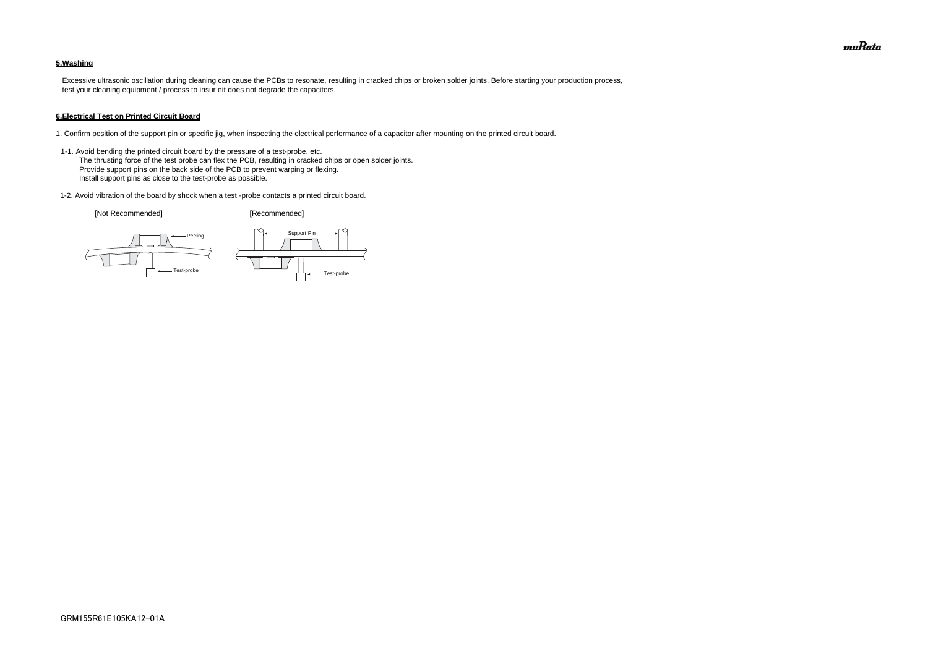### **5.Washing**

 Excessive ultrasonic oscillation during cleaning can cause the PCBs to resonate, resulting in cracked chips or broken solder joints. Before starting your production process, test your cleaning equipment / process to insur eit does not degrade the capacitors.

#### **6.Electrical Test on Printed Circuit Board**

- 1. Confirm position of the support pin or specific jig, when inspecting the electrical performance of a capacitor after mounting on the printed circuit board.
- 1-1. Avoid bending the printed circuit board by the pressure of a test-probe, etc. The thrusting force of the test probe can flex the PCB, resulting in cracked chips or open solder joints. Provide support pins on the back side of the PCB to prevent warping or flexing. Install support pins as close to the test-probe as possible.
- 1-2. Avoid vibration of the board by shock when a test -probe contacts a printed circuit board.

[Not Recommended] [Recommended]





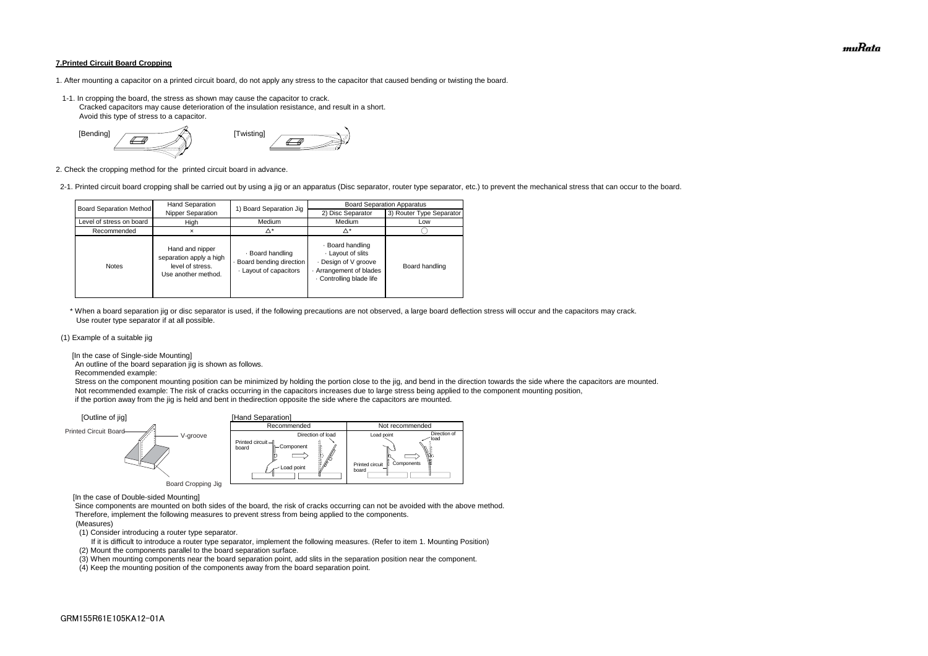#### **7.Printed Circuit Board Cropping**

- 1. After mounting a capacitor on a printed circuit board, do not apply any stress to the capacitor that caused bending or twisting the board.
- 1-1. In cropping the board, the stress as shown may cause the capacitor to crack. Cracked capacitors may cause deterioration of the insulation resistance, and result in a short. Avoid this type of stress to a capacitor.



2. Check the cropping method for the printed circuit board in advance.

2-1. Printed circuit board cropping shall be carried out by using a jig or an apparatus (Disc separator, router type separator, etc.) to prevent the mechanical stress that can occur to the board.

 \* When a board separation jig or disc separator is used, if the following precautions are not observed, a large board deflection stress will occur and the capacitors may crack. Use router type separator if at all possible.

#### (1) Example of a suitable jig

[In the case of Single-side Mounting]

An outline of the board separation jig is shown as follows.

Recommended example:

 Stress on the component mounting position can be minimized by holding the portion close to the jig, and bend in the direction towards the side where the capacitors are mounted. Not recommended example: The risk of cracks occurring in the capacitors increases due to large stress being applied to the component mounting position, if the portion away from the jig is held and bent in thedirection opposite the side where the capacitors are mounted.

[In the case of Double-sided Mounting]

 Since components are mounted on both sides of the board, the risk of cracks occurring can not be avoided with the above method. Therefore, implement the following measures to prevent stress from being applied to the components.

#### (Measures)

(1) Consider introducing a router type separator.

If it is difficult to introduce a router type separator, implement the following measures. (Refer to item 1. Mounting Position)

(2) Mount the components parallel to the board separation surface.

(3) When mounting components near the board separation point, add slits in the separation position near the component.



(4) Keep the mounting position of the components away from the board separation point.

| <b>Board Separation Method</b> | Hand Separation                                                                       | 1) Board Separation Jig                                               | <b>Board Separation Apparatus</b>                                                                              |                          |  |
|--------------------------------|---------------------------------------------------------------------------------------|-----------------------------------------------------------------------|----------------------------------------------------------------------------------------------------------------|--------------------------|--|
|                                | Nipper Separation                                                                     |                                                                       | 2) Disc Separator                                                                                              | 3) Router Type Separator |  |
| Level of stress on board       | High                                                                                  | Medium                                                                | Medium                                                                                                         | Low                      |  |
| Recommended                    | ×                                                                                     | Δ*                                                                    | ^*                                                                                                             |                          |  |
| <b>Notes</b>                   | Hand and nipper<br>separation apply a high<br>level of stress.<br>Use another method. | · Board handling<br>- Board bending direction<br>Layout of capacitors | · Board handling<br>Layout of slits<br>Design of V groove<br>Arrangement of blades<br>. Controlling blade life | Board handling           |  |

muRata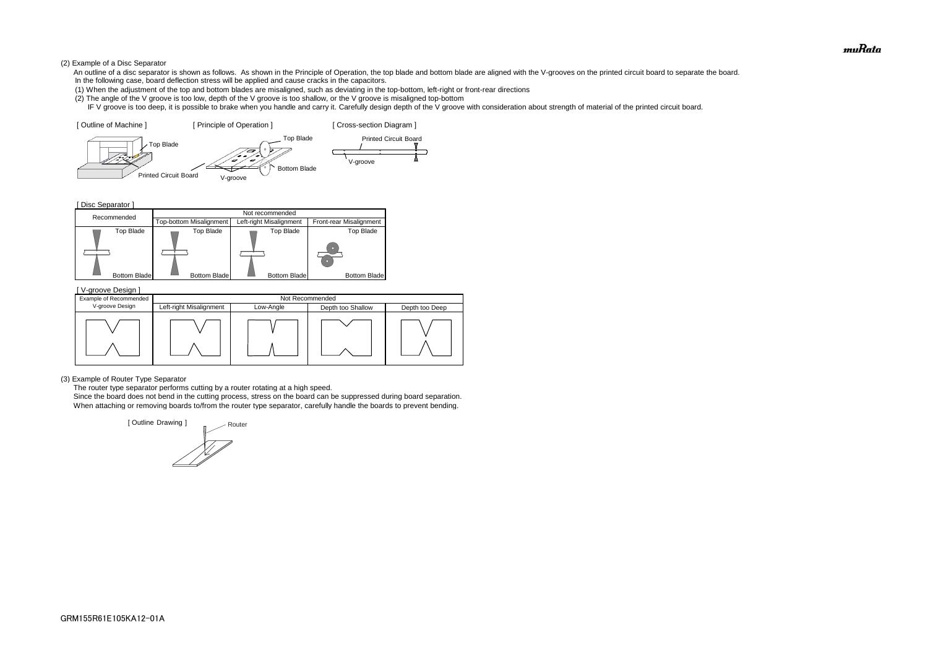#### (2) Example of a Disc Separator

- An outline of a disc separator is shown as follows. As shown in the Principle of Operation, the top blade and bottom blade are aligned with the V-grooves on the printed circuit board to separate the board. In the following case, board deflection stress will be applied and cause cracks in the capacitors.
- (1) When the adjustment of the top and bottom blades are misaligned, such as deviating in the top-bottom, left-right or front-rear directions
- (2) The angle of the V groove is too low, depth of the V groove is too shallow, or the V groove is misaligned top-bottom
- IF V groove is too deep, it is possible to brake when you handle and carry it. Carefully design depth of the V groove with consideration about strength of material of the printed circuit board.

[ Disc Separator ]

(3) Example of Router Type Separator

The router type separator performs cutting by a router rotating at a high speed.





 Since the board does not bend in the cutting process, stress on the board can be suppressed during board separation. When attaching or removing boards to/from the router type separator, carefully handle the boards to prevent bending.

| V-groove Design ]      |                         |           |                   |                |  |  |
|------------------------|-------------------------|-----------|-------------------|----------------|--|--|
| Example of Recommended | Not Recommended         |           |                   |                |  |  |
| V-groove Design        | Left-right Misalignment | Low-Angle | Depth too Shallow | Depth too Deep |  |  |
|                        |                         |           |                   |                |  |  |

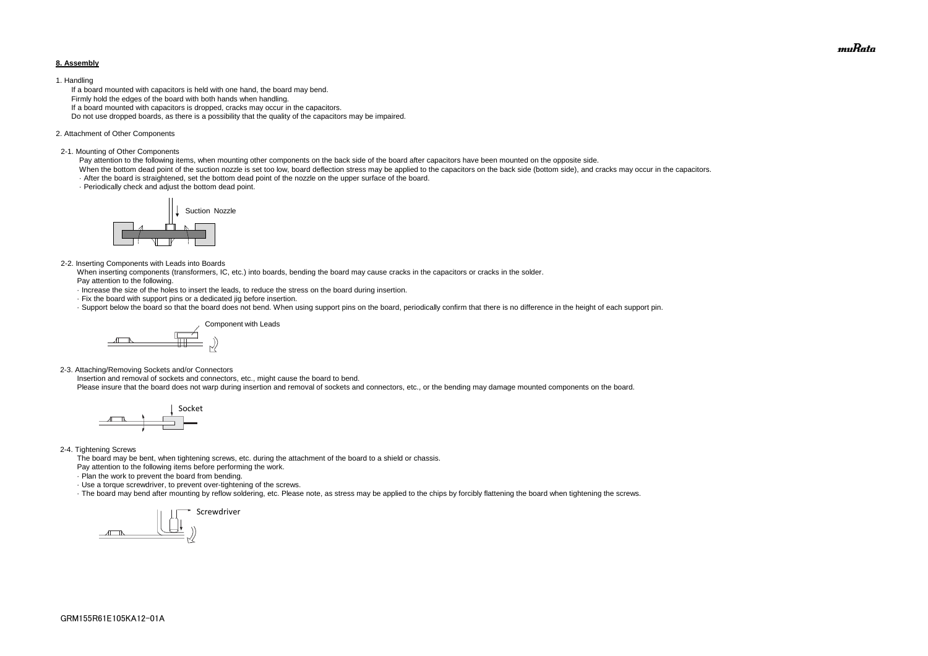#### **8. Assembly**

#### 1. Handling

 If a board mounted with capacitors is held with one hand, the board may bend. Firmly hold the edges of the board with both hands when handling. If a board mounted with capacitors is dropped, cracks may occur in the capacitors. Do not use dropped boards, as there is a possibility that the quality of the capacitors may be impaired.

#### 2. Attachment of Other Components

#### 2-1. Mounting of Other Components

Pay attention to the following items, when mounting other components on the back side of the board after capacitors have been mounted on the opposite side.

When the bottom dead point of the suction nozzle is set too low, board deflection stress may be applied to the capacitors on the back side (bottom side), and cracks may occur in the capacitors. · After the board is straightened, set the bottom dead point of the nozzle on the upper surface of the board.

· Periodically check and adjust the bottom dead point.

#### 2-2. Inserting Components with Leads into Boards

 When inserting components (transformers, IC, etc.) into boards, bending the board may cause cracks in the capacitors or cracks in the solder. Pay attention to the following.

- · Increase the size of the holes to insert the leads, to reduce the stress on the board during insertion.
- · Fix the board with support pins or a dedicated jig before insertion.
- · Support below the board so that the board does not bend. When using support pins on the board, periodically confirm that there is no difference in the height of each support pin.

2-3. Attaching/Removing Sockets and/or Connectors

Insertion and removal of sockets and connectors, etc., might cause the board to bend.

Please insure that the board does not warp during insertion and removal of sockets and connectors, etc., or the bending may damage mounted components on the board.

#### 2-4. Tightening Screws

The board may be bent, when tightening screws, etc. during the attachment of the board to a shield or chassis.

Pay attention to the following items before performing the work.

· Plan the work to prevent the board from bending.

· Use a torque screwdriver, to prevent over-tightening of the screws.

· The board may bend after mounting by reflow soldering, etc. Please note, as stress may be applied to the chips by forcibly flattening the board when tightening the screws.









muRata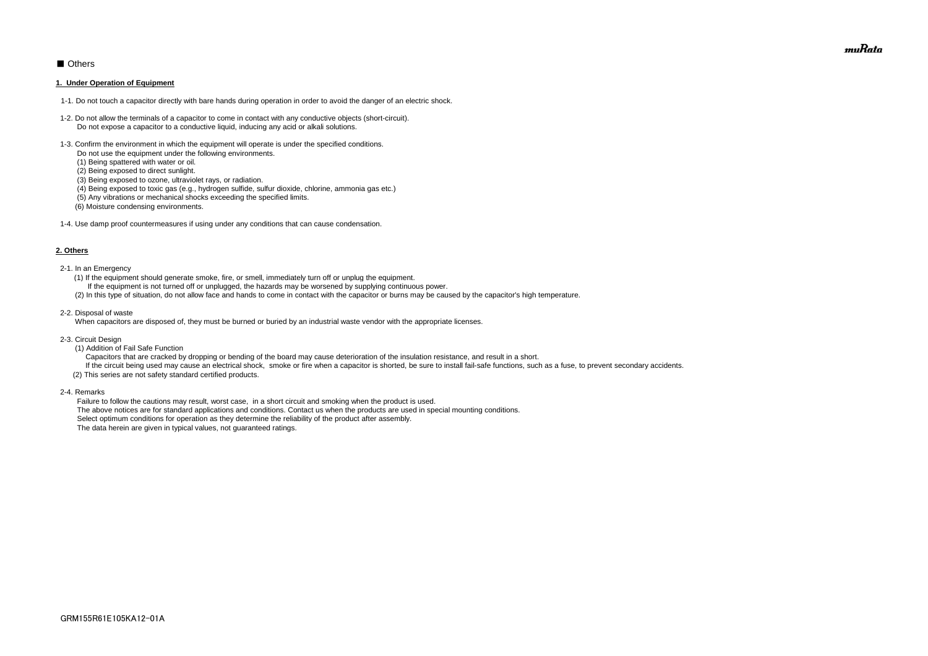# ■ Others

#### **1. Under Operation of Equipment**

- 1-1. Do not touch a capacitor directly with bare hands during operation in order to avoid the danger of an electric shock.
- 1-2. Do not allow the terminals of a capacitor to come in contact with any conductive objects (short-circuit). Do not expose a capacitor to a conductive liquid, inducing any acid or alkali solutions.
- 1-3. Confirm the environment in which the equipment will operate is under the specified conditions.
	- Do not use the equipment under the following environments.
	- (1) Being spattered with water or oil.
	- (2) Being exposed to direct sunlight.
	- (3) Being exposed to ozone, ultraviolet rays, or radiation.
	- (4) Being exposed to toxic gas (e.g., hydrogen sulfide, sulfur dioxide, chlorine, ammonia gas etc.)
	- (5) Any vibrations or mechanical shocks exceeding the specified limits.
	- (6) Moisture condensing environments.
- 1-4. Use damp proof countermeasures if using under any conditions that can cause condensation.

#### **2. Others**

If the circuit being used may cause an electrical shock, smoke or fire when a capacitor is shorted, be sure to install fail-safe functions, such as a fuse, to prevent secondary accidents. (2) This series are not safety standard certified products.

- 2-1. In an Emergency
	- (1) If the equipment should generate smoke, fire, or smell, immediately turn off or unplug the equipment.
	- If the equipment is not turned off or unplugged, the hazards may be worsened by supplying continuous power.
	- (2) In this type of situation, do not allow face and hands to come in contact with the capacitor or burns may be caused by the capacitor's high temperature.
- 2-2. Disposal of waste

When capacitors are disposed of, they must be burned or buried by an industrial waste vendor with the appropriate licenses.

- 2-3. Circuit Design
	- (1) Addition of Fail Safe Function

Capacitors that are cracked by dropping or bending of the board may cause deterioration of the insulation resistance, and result in a short.

2-4. Remarks

 Failure to follow the cautions may result, worst case, in a short circuit and smoking when the product is used. The above notices are for standard applications and conditions. Contact us when the products are used in special mounting conditions. Select optimum conditions for operation as they determine the reliability of the product after assembly. The data herein are given in typical values, not guaranteed ratings.

muRata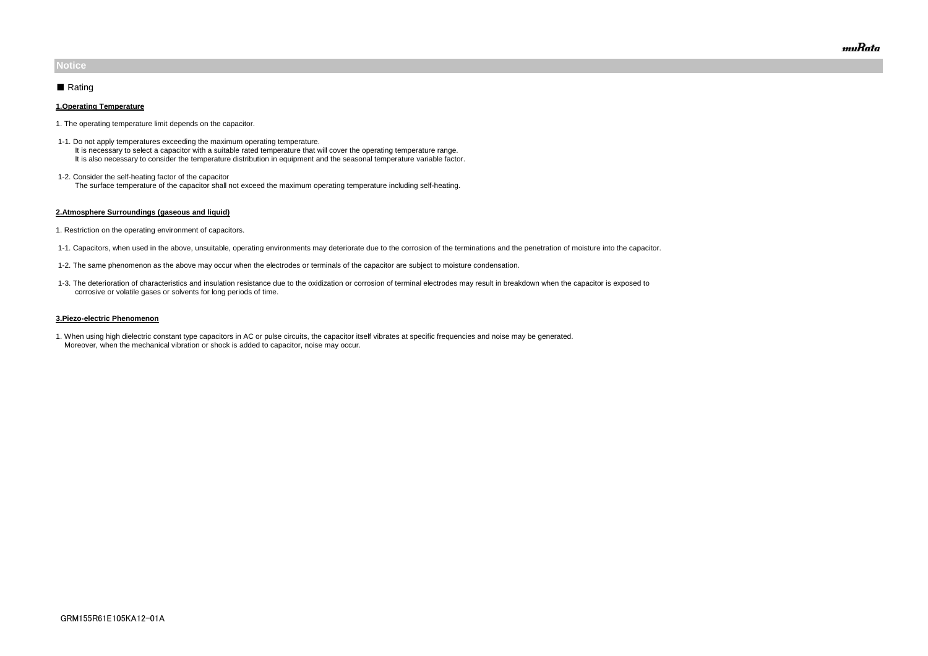#### **1.Operating Temperature**

- 1. The operating temperature limit depends on the capacitor.
- 1-1. Do not apply temperatures exceeding the maximum operating temperature. It is necessary to select a capacitor with a suitable rated temperature that will cover the operating temperature range. It is also necessary to consider the temperature distribution in equipment and the seasonal temperature variable factor.
- 1-2. Consider the self-heating factor of the capacitor The surface temperature of the capacitor shall not exceed the maximum operating temperature including self-heating.

#### **2.Atmosphere Surroundings (gaseous and liquid)**

- 1. Restriction on the operating environment of capacitors.
- 1-1. Capacitors, when used in the above, unsuitable, operating environments may deteriorate due to the corrosion of the terminations and the penetration of moisture into the capacitor.
- 1-2. The same phenomenon as the above may occur when the electrodes or terminals of the capacitor are subject to moisture condensation.
- 1-3. The deterioration of characteristics and insulation resistance due to the oxidization or corrosion of terminal electrodes may result in breakdown when the capacitor is exposed to corrosive or volatile gases or solvents for long periods of time.

#### **3.Piezo-electric Phenomenon**

1. When using high dielectric constant type capacitors in AC or pulse circuits, the capacitor itself vibrates at specific frequencies and noise may be generated. Moreover, when the mechanical vibration or shock is added to capacitor, noise may occur.

# **Notice**

## ■ Rating

muRata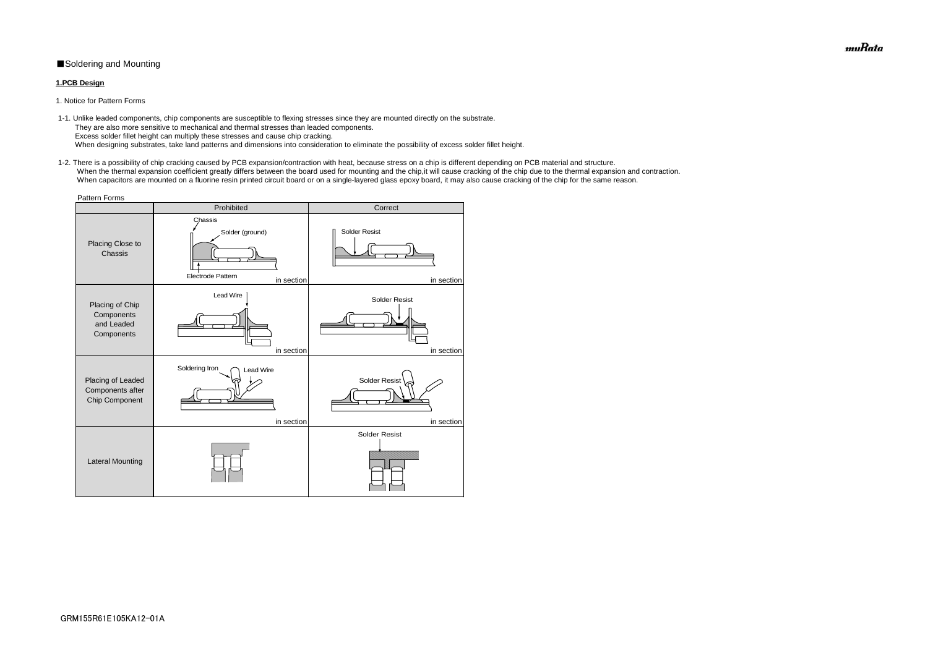# ■Soldering and Mounting

### **1.PCB Design**

 1-1. Unlike leaded components, chip components are susceptible to flexing stresses since they are mounted directly on the substrate. They are also more sensitive to mechanical and thermal stresses than leaded components. Excess solder fillet height can multiply these stresses and cause chip cracking. When designing substrates, take land patterns and dimensions into consideration to eliminate the possibility of excess solder fillet height.

1. Notice for Pattern Forms

 1-2. There is a possibility of chip cracking caused by PCB expansion/contraction with heat, because stress on a chip is different depending on PCB material and structure. When the thermal expansion coefficient greatly differs between the board used for mounting and the chip, it will cause cracking of the chip due to the thermal expansion and contraction. When capacitors are mounted on a fluorine resin printed circuit board or on a single-layered glass epoxy board, it may also cause cracking of the chip for the same reason.

| <b>Pattern Forms</b>                                      |                                                                      |                                    |  |  |  |  |
|-----------------------------------------------------------|----------------------------------------------------------------------|------------------------------------|--|--|--|--|
|                                                           | Prohibited                                                           | Correct                            |  |  |  |  |
| Placing Close to<br>Chassis                               | Chassis<br>Solder (ground)<br><b>Electrode Pattern</b><br>in section | <b>Solder Resist</b><br>in section |  |  |  |  |
| Placing of Chip<br>Components<br>and Leaded<br>Components | Lead Wire<br>in section                                              | <b>Solder Resist</b><br>in section |  |  |  |  |
| Placing of Leaded<br>Components after<br>Chip Component   | Soldering Iron<br><b>Lead Wire</b><br>in section                     | <b>Solder Resist</b><br>in section |  |  |  |  |
| <b>Lateral Mounting</b>                                   |                                                                      | <b>Solder Resist</b>               |  |  |  |  |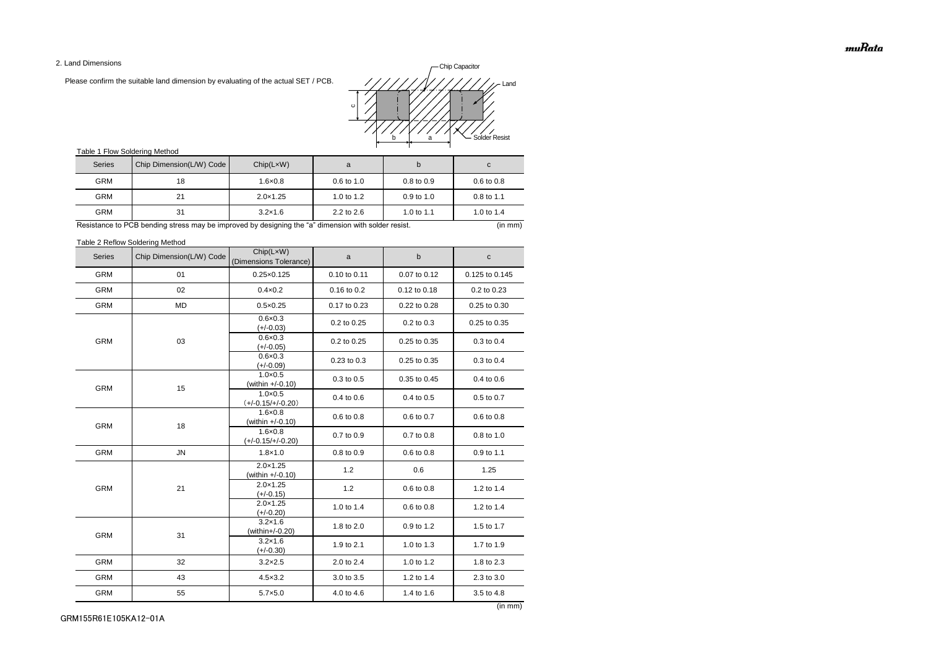2. Land Dimensions

Please confirm the suitable land dimension by evaluating of the actual SET / PCB.

# Table 1 Flow Soldering Method

Table 2 Reflow Soldering Method

| <b>Series</b> | Chip Dimension(L/W) Code | Chip(LxW)<br>(Dimensions Tolerance)      | a            | $\sf b$      | $\mathbf C$    |
|---------------|--------------------------|------------------------------------------|--------------|--------------|----------------|
| <b>GRM</b>    | 01                       | $0.25 \times 0.125$                      | 0.10 to 0.11 | 0.07 to 0.12 | 0.125 to 0.145 |
| <b>GRM</b>    | 02                       | $0.4 \times 0.2$                         | 0.16 to 0.2  | 0.12 to 0.18 | 0.2 to 0.23    |
| <b>GRM</b>    | <b>MD</b>                | $0.5 \times 0.25$                        | 0.17 to 0.23 | 0.22 to 0.28 | 0.25 to 0.30   |
|               |                          | $0.6 \times 0.3$<br>$(+/-0.03)$          | 0.2 to 0.25  | 0.2 to 0.3   | 0.25 to 0.35   |
| <b>GRM</b>    | 03                       | $0.6 \times 0.3$<br>$(+/-0.05)$          | 0.2 to 0.25  | 0.25 to 0.35 | 0.3 to 0.4     |
|               |                          | $0.6 \times 0.3$<br>$(+/-0.09)$          | 0.23 to 0.3  | 0.25 to 0.35 | 0.3 to 0.4     |
| <b>GRM</b>    | 15                       | $1.0 \times 0.5$<br>(within +/-0.10)     | 0.3 to 0.5   | 0.35 to 0.45 | 0.4 to 0.6     |
|               |                          | $1.0 \times 0.5$<br>$(+/-0.15/+/-0.20)$  | 0.4 to 0.6   | 0.4 to 0.5   | 0.5 to 0.7     |
| <b>GRM</b>    | 18                       | $1.6 \times 0.8$<br>(within $+/-0.10$ )  | 0.6 to 0.8   | 0.6 to 0.7   | 0.6 to 0.8     |
|               |                          | $1.6 \times 0.8$<br>$(+/-0.15/+/-0.20)$  | 0.7 to 0.9   | 0.7 to 0.8   | 0.8 to 1.0     |
| <b>GRM</b>    | <b>JN</b>                | $1.8 \times 1.0$                         | 0.8 to 0.9   | 0.6 to 0.8   | 0.9 to 1.1     |
|               | 21                       | $2.0 \times 1.25$<br>(within $+/-0.10$ ) | 1.2          | 0.6          | 1.25           |
| <b>GRM</b>    |                          | $2.0 \times 1.25$<br>$(+/-0.15)$         | 1.2          | 0.6 to 0.8   | 1.2 to 1.4     |
|               |                          | $2.0 \times 1.25$<br>$(+/-0.20)$         | 1.0 to 1.4   | 0.6 to 0.8   | 1.2 to 1.4     |
| <b>GRM</b>    | 31                       | $3.2 \times 1.6$<br>(within+/-0.20)      | 1.8 to 2.0   | 0.9 to 1.2   | 1.5 to 1.7     |
|               |                          | $3.2 \times 1.6$<br>$(+/-0.30)$          | 1.9 to 2.1   | 1.0 to 1.3   | 1.7 to 1.9     |
| <b>GRM</b>    | 32                       | $3.2 \times 2.5$                         | 2.0 to 2.4   | 1.0 to 1.2   | 1.8 to 2.3     |
| <b>GRM</b>    | 43                       | $4.5 \times 3.2$                         | 3.0 to 3.5   | 1.2 to 1.4   | 2.3 to 3.0     |
| <b>GRM</b>    | 55                       | $5.7 \times 5.0$                         | 4.0 to 4.6   | 1.4 to 1.6   | 3.5 to 4.8     |

| <b>Series</b> | Chip Dimension(L/W) Code | Chip(LxW)         | a                     | b                     | C                     |
|---------------|--------------------------|-------------------|-----------------------|-----------------------|-----------------------|
| <b>GRM</b>    | 18                       | $1.6 \times 0.8$  | $0.6 \text{ to } 1.0$ | $0.8 \text{ to } 0.9$ | $0.6 \text{ to } 0.8$ |
| <b>GRM</b>    | 21                       | $2.0 \times 1.25$ | 1.0 to $1.2$          | $0.9$ to 1.0          | $0.8 \text{ to } 1.1$ |
| <b>GRM</b>    | 31                       | $3.2 \times 1.6$  | $2.2$ to $2.6$        | 1.0 to 1.1            | 1.0 to 1.4            |

Resistance to PCB bending stress may be improved by designing the "a" dimension with solder resist. (in mm) (in mm)

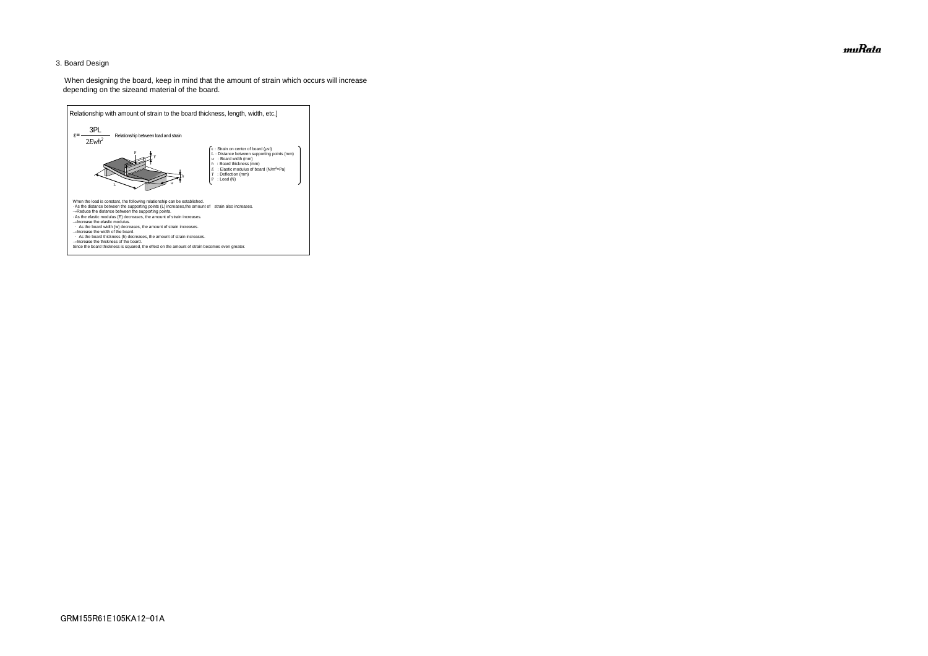## 3. Board Design

 When designing the board, keep in mind that the amount of strain which occurs will increase depending on the sizeand material of the board.



muRata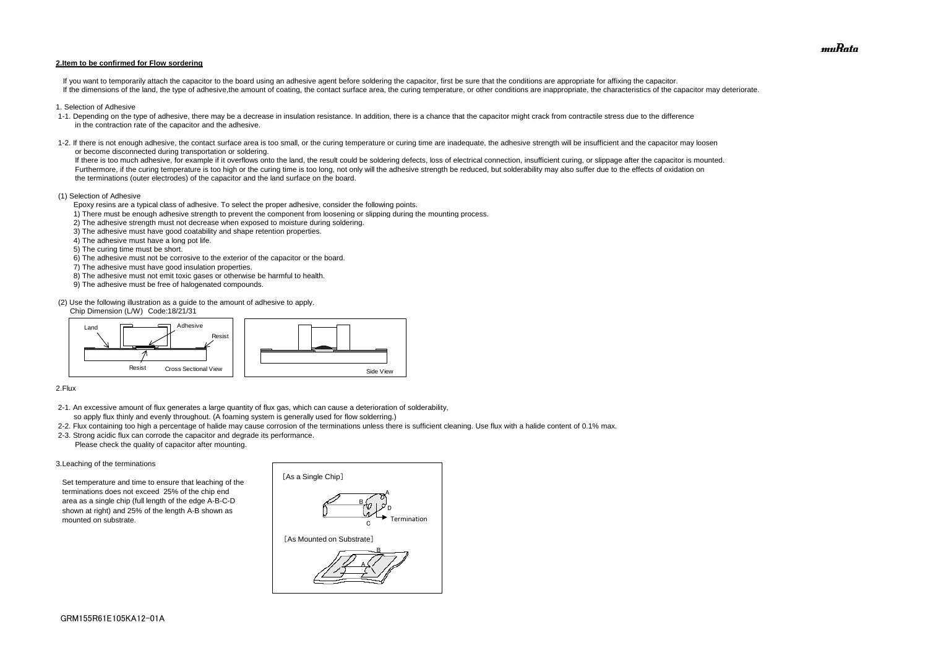#### **2.Item to be confirmed for Flow sordering**

If you want to temporarily attach the capacitor to the board using an adhesive agent before soldering the capacitor, first be sure that the conditions are appropriate for affixing the capacitor. If the dimensions of the land, the type of adhesive, the amount of coating, the contact surface area, the curing temperature, or other conditions are inappropriate, the characteristics of the capacitor may deteriorate.

- 1. Selection of Adhesive
- 1-1. Depending on the type of adhesive, there may be a decrease in insulation resistance. In addition, there is a chance that the capacitor might crack from contractile stress due to the difference in the contraction rate of the capacitor and the adhesive.
- 1-2. If there is not enough adhesive, the contact surface area is too small, or the curing temperature or curing time are inadequate, the adhesive strength will be insufficient and the capacitor may loosen or become disconnected during transportation or soldering.

If there is too much adhesive, for example if it overflows onto the land, the result could be soldering defects, loss of electrical connection, insufficient curing, or slippage after the capacitor is mounted. Furthermore, if the curing temperature is too high or the curing time is too long, not only will the adhesive strength be reduced, but solderability may also suffer due to the effects of oxidation on the terminations (outer electrodes) of the capacitor and the land surface on the board.

#### (1) Selection of Adhesive

Epoxy resins are a typical class of adhesive. To select the proper adhesive, consider the following points.

- 1) There must be enough adhesive strength to prevent the component from loosening or slipping during the mounting process.
- 2) The adhesive strength must not decrease when exposed to moisture during soldering.
- 3) The adhesive must have good coatability and shape retention properties.
- 4) The adhesive must have a long pot life.
- 5) The curing time must be short.
- 6) The adhesive must not be corrosive to the exterior of the capacitor or the board.
- 7) The adhesive must have good insulation properties.
- 8) The adhesive must not emit toxic gases or otherwise be harmful to health.
- 9) The adhesive must be free of halogenated compounds.

(2) Use the following illustration as a guide to the amount of adhesive to apply.

Chip Dimension (L/W) Code:18/21/31

#### 2.Flux

- 2-1. An excessive amount of flux generates a large quantity of flux gas, which can cause a deterioration of solderability, so apply flux thinly and evenly throughout. (A foaming system is generally used for flow solderring.)
- 2-2. Flux containing too high a percentage of halide may cause corrosion of the terminations unless there is sufficient cleaning. Use flux with a halide content of 0.1% max.
- 2-3. Strong acidic flux can corrode the capacitor and degrade its performance. Please check the quality of capacitor after mounting.

#### 3.Leaching of the terminations

 Set temperature and time to ensure that leaching of the terminations does not exceed 25% of the chip end area as a single chip (full length of the edge A-B-C-D shown at right) and 25% of the length A-B shown as mounted on substrate.





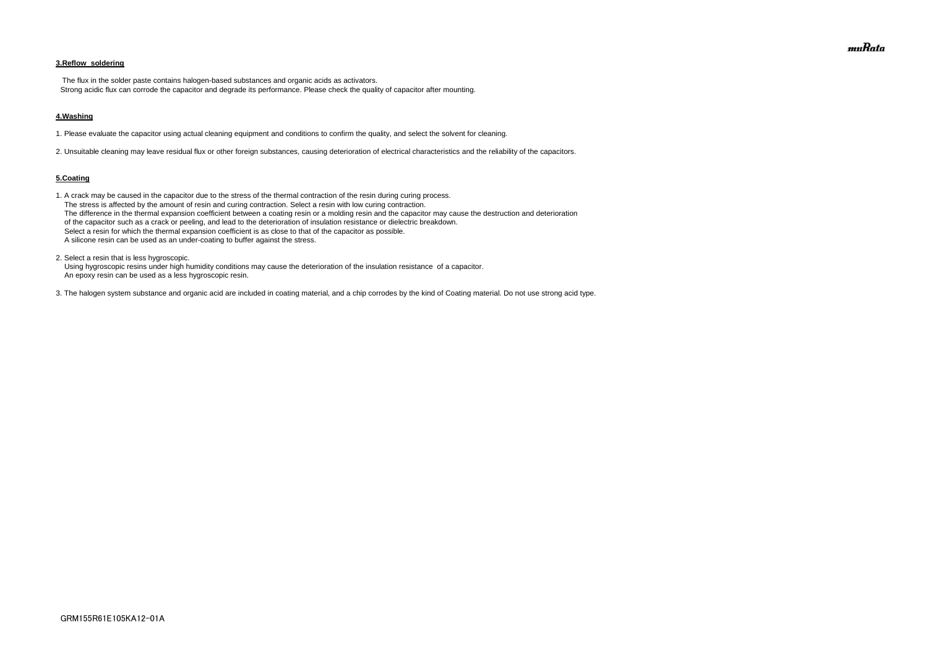## **3.Reflow soldering**

 The flux in the solder paste contains halogen-based substances and organic acids as activators. Strong acidic flux can corrode the capacitor and degrade its performance. Please check the quality of capacitor after mounting.

#### **4.Washing**

1. Please evaluate the capacitor using actual cleaning equipment and conditions to confirm the quality, and select the solvent for cleaning.

2. Unsuitable cleaning may leave residual flux or other foreign substances, causing deterioration of electrical characteristics and the reliability of the capacitors.

#### **5.Coating**

1. A crack may be caused in the capacitor due to the stress of the thermal contraction of the resin during curing process. The stress is affected by the amount of resin and curing contraction. Select a resin with low curing contraction. The difference in the thermal expansion coefficient between a coating resin or a molding resin and the capacitor may cause the destruction and deterioration of the capacitor such as a crack or peeling, and lead to the deterioration of insulation resistance or dielectric breakdown. Select a resin for which the thermal expansion coefficient is as close to that of the capacitor as possible. A silicone resin can be used as an under-coating to buffer against the stress.

2. Select a resin that is less hygroscopic.

 Using hygroscopic resins under high humidity conditions may cause the deterioration of the insulation resistance of a capacitor. An epoxy resin can be used as a less hygroscopic resin.

3. The halogen system substance and organic acid are included in coating material, and a chip corrodes by the kind of Coating material. Do not use strong acid type.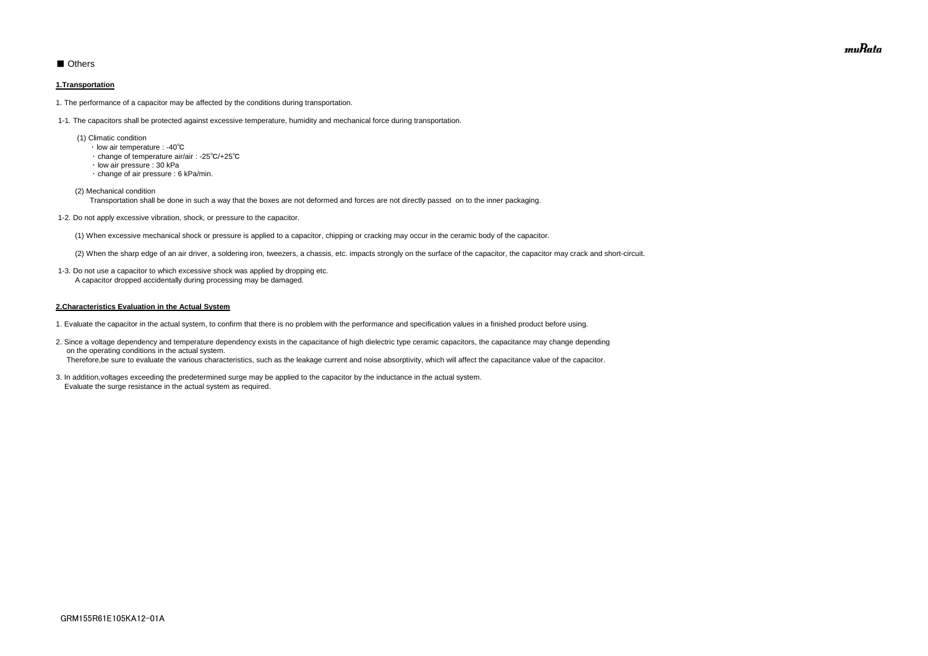# ■ Others

#### **1.Transportation**

1. The performance of a capacitor may be affected by the conditions during transportation.

1-1. The capacitors shall be protected against excessive temperature, humidity and mechanical force during transportation.

- (1) Climatic condition
	- ・ low air temperature : -40℃
	- ・ change of temperature air/air : -25℃/+25℃
	- ・ low air pressure : 30 kPa
	- ・ change of air pressure : 6 kPa/min.
- (2) Mechanical condition

Transportation shall be done in such a way that the boxes are not deformed and forces are not directly passed on to the inner packaging.

1-2. Do not apply excessive vibration, shock, or pressure to the capacitor.

(1) When excessive mechanical shock or pressure is applied to a capacitor, chipping or cracking may occur in the ceramic body of the capacitor.

(2) When the sharp edge of an air driver, a soldering iron, tweezers, a chassis, etc. impacts strongly on the surface of the capacitor, the capacitor may crack and short-circuit.

 1-3. Do not use a capacitor to which excessive shock was applied by dropping etc. A capacitor dropped accidentally during processing may be damaged.

#### **2.Characteristics Evaluation in the Actual System**

- 1. Evaluate the capacitor in the actual system, to confirm that there is no problem with the performance and specification values in a finished product before using.
- 2. Since a voltage dependency and temperature dependency exists in the capacitance of high dielectric type ceramic capacitors, the capacitance may change depending on the operating conditions in the actual system. Therefore,be sure to evaluate the various characteristics, such as the leakage current and noise absorptivity, which will affect the capacitance value of the capacitor.
- 3. In addition,voltages exceeding the predetermined surge may be applied to the capacitor by the inductance in the actual system. Evaluate the surge resistance in the actual system as required.

muRata